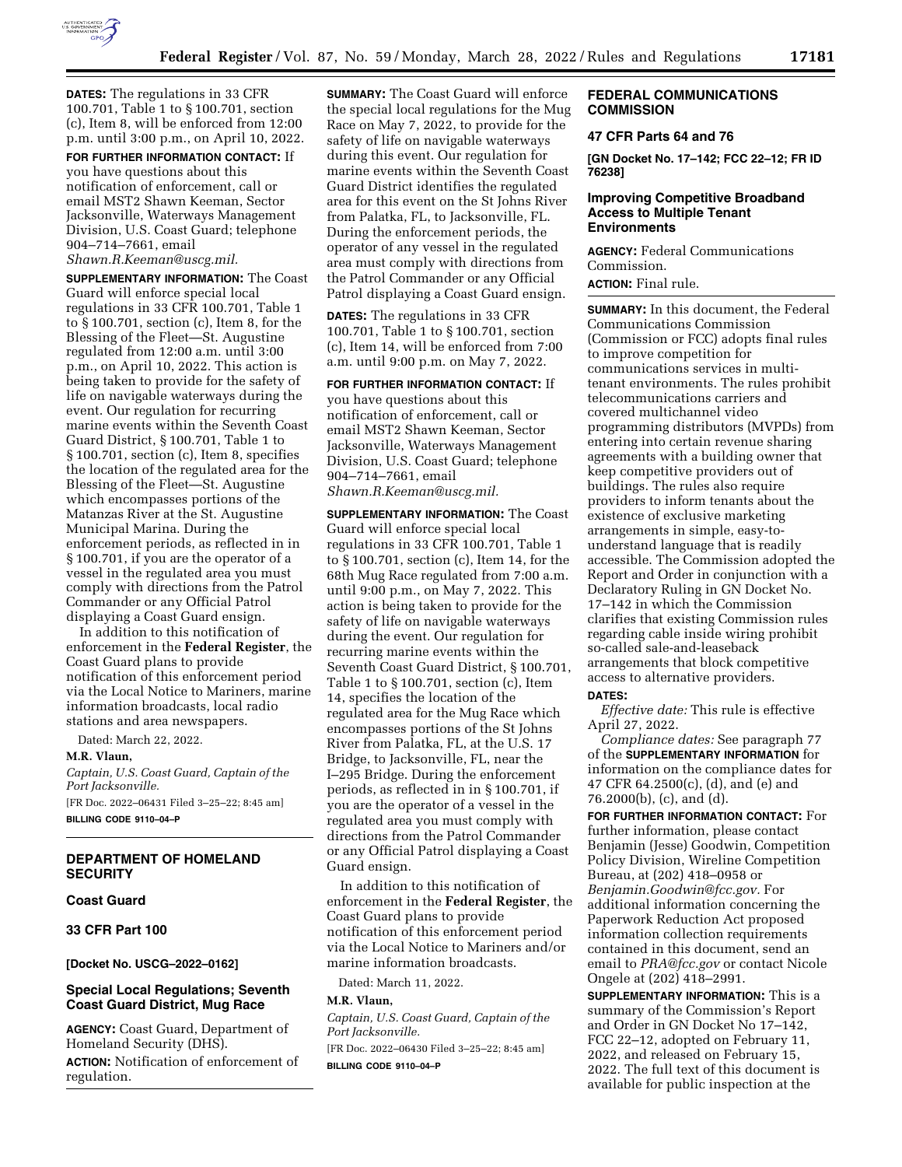

**DATES:** The regulations in 33 CFR 100.701, Table 1 to § 100.701, section (c), Item 8, will be enforced from 12:00 p.m. until 3:00 p.m., on April 10, 2022.

**FOR FURTHER INFORMATION CONTACT:** If you have questions about this notification of enforcement, call or email MST2 Shawn Keeman, Sector Jacksonville, Waterways Management Division, U.S. Coast Guard; telephone 904–714–7661, email *[Shawn.R.Keeman@uscg.mil.](mailto:Shawn.R.Keeman@uscg.mil)* 

**SUPPLEMENTARY INFORMATION:** The Coast Guard will enforce special local regulations in 33 CFR 100.701, Table 1 to § 100.701, section (c), Item 8, for the Blessing of the Fleet—St. Augustine regulated from 12:00 a.m. until 3:00 p.m., on April 10, 2022. This action is being taken to provide for the safety of life on navigable waterways during the event. Our regulation for recurring marine events within the Seventh Coast Guard District, § 100.701, Table 1 to § 100.701, section (c), Item 8, specifies the location of the regulated area for the Blessing of the Fleet—St. Augustine which encompasses portions of the Matanzas River at the St. Augustine Municipal Marina. During the enforcement periods, as reflected in in § 100.701, if you are the operator of a vessel in the regulated area you must comply with directions from the Patrol Commander or any Official Patrol displaying a Coast Guard ensign.

In addition to this notification of enforcement in the **Federal Register**, the Coast Guard plans to provide notification of this enforcement period via the Local Notice to Mariners, marine information broadcasts, local radio stations and area newspapers.

Dated: March 22, 2022.

**M.R. Vlaun,** 

*Captain, U.S. Coast Guard, Captain of the Port Jacksonville.*  [FR Doc. 2022–06431 Filed 3–25–22; 8:45 am] **BILLING CODE 9110–04–P** 

# **DEPARTMENT OF HOMELAND SECURITY**

**Coast Guard** 

**33 CFR Part 100** 

**[Docket No. USCG–2022–0162]** 

# **Special Local Regulations; Seventh Coast Guard District, Mug Race**

**AGENCY:** Coast Guard, Department of Homeland Security (DHS).

**ACTION:** Notification of enforcement of regulation.

**SUMMARY:** The Coast Guard will enforce the special local regulations for the Mug Race on May 7, 2022, to provide for the safety of life on navigable waterways during this event. Our regulation for marine events within the Seventh Coast Guard District identifies the regulated area for this event on the St Johns River from Palatka, FL, to Jacksonville, FL. During the enforcement periods, the operator of any vessel in the regulated area must comply with directions from the Patrol Commander or any Official Patrol displaying a Coast Guard ensign.

**DATES:** The regulations in 33 CFR 100.701, Table 1 to § 100.701, section (c), Item 14, will be enforced from 7:00 a.m. until 9:00 p.m. on May 7, 2022.

**FOR FURTHER INFORMATION CONTACT:** If you have questions about this notification of enforcement, call or email MST2 Shawn Keeman, Sector Jacksonville, Waterways Management Division, U.S. Coast Guard; telephone 904–714–7661, email *[Shawn.R.Keeman@uscg.mil.](mailto:Shawn.R.Keeman@uscg.mil)* 

**SUPPLEMENTARY INFORMATION:** The Coast Guard will enforce special local regulations in 33 CFR 100.701, Table 1 to § 100.701, section (c), Item 14, for the 68th Mug Race regulated from 7:00 a.m. until 9:00 p.m., on May 7, 2022. This action is being taken to provide for the safety of life on navigable waterways during the event. Our regulation for recurring marine events within the Seventh Coast Guard District, § 100.701, Table 1 to § 100.701, section (c), Item 14, specifies the location of the regulated area for the Mug Race which encompasses portions of the St Johns River from Palatka, FL, at the U.S. 17 Bridge, to Jacksonville, FL, near the I–295 Bridge. During the enforcement periods, as reflected in in § 100.701, if you are the operator of a vessel in the regulated area you must comply with directions from the Patrol Commander or any Official Patrol displaying a Coast Guard ensign.

In addition to this notification of enforcement in the **Federal Register**, the Coast Guard plans to provide notification of this enforcement period via the Local Notice to Mariners and/or marine information broadcasts.

Dated: March 11, 2022.

#### **M.R. Vlaun,**

*Captain, U.S. Coast Guard, Captain of the Port Jacksonville.* 

[FR Doc. 2022–06430 Filed 3–25–22; 8:45 am] **BILLING CODE 9110–04–P** 

# **FEDERAL COMMUNICATIONS COMMISSION**

# **47 CFR Parts 64 and 76**

**[GN Docket No. 17–142; FCC 22–12; FR ID 76238]** 

#### **Improving Competitive Broadband Access to Multiple Tenant Environments**

**AGENCY:** Federal Communications Commission.

**ACTION:** Final rule.

**SUMMARY:** In this document, the Federal Communications Commission (Commission or FCC) adopts final rules to improve competition for communications services in multitenant environments. The rules prohibit telecommunications carriers and covered multichannel video programming distributors (MVPDs) from entering into certain revenue sharing agreements with a building owner that keep competitive providers out of buildings. The rules also require providers to inform tenants about the existence of exclusive marketing arrangements in simple, easy-tounderstand language that is readily accessible. The Commission adopted the Report and Order in conjunction with a Declaratory Ruling in GN Docket No. 17–142 in which the Commission clarifies that existing Commission rules regarding cable inside wiring prohibit so-called sale-and-leaseback arrangements that block competitive access to alternative providers. **DATES:** 

*Effective date:* This rule is effective April 27, 2022.

*Compliance dates:* See paragraph 77 of the **SUPPLEMENTARY INFORMATION** for information on the compliance dates for 47 CFR 64.2500(c), (d), and (e) and 76.2000(b), (c), and (d).

**FOR FURTHER INFORMATION CONTACT:** For further information, please contact Benjamin (Jesse) Goodwin, Competition Policy Division, Wireline Competition Bureau, at (202) 418–0958 or *[Benjamin.Goodwin@fcc.gov.](mailto:Benjamin.Goodwin@fcc.gov)* For additional information concerning the Paperwork Reduction Act proposed information collection requirements contained in this document, send an email to *[PRA@fcc.gov](mailto:PRA@fcc.gov)* or contact Nicole Ongele at (202) 418–2991.

**SUPPLEMENTARY INFORMATION:** This is a summary of the Commission's Report and Order in GN Docket No 17–142, FCC 22–12, adopted on February 11, 2022, and released on February 15, 2022. The full text of this document is available for public inspection at the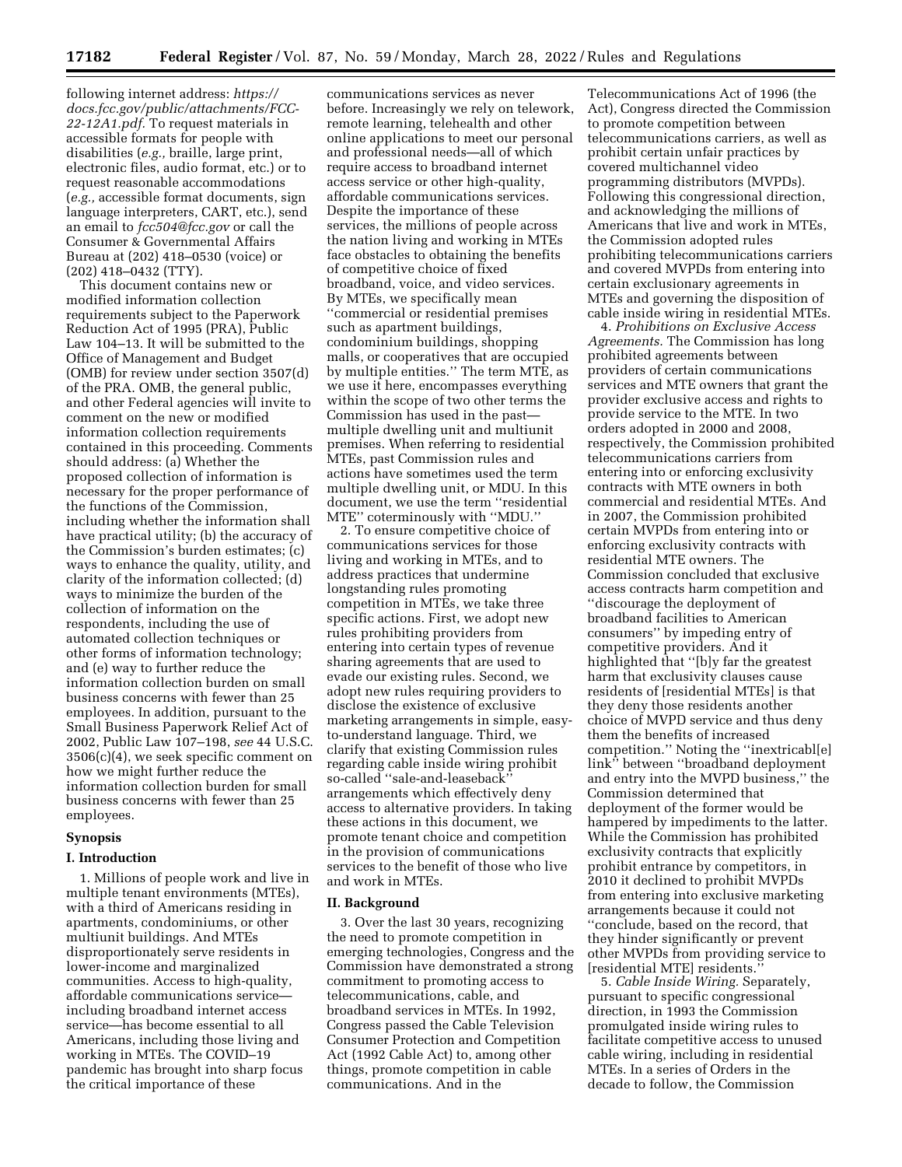following internet address: *[https://](https://docs.fcc.gov/public/attachments/FCC-22-12A1.pdf) [docs.fcc.gov/public/attachments/FCC-](https://docs.fcc.gov/public/attachments/FCC-22-12A1.pdf)[22-12A1.pdf.](https://docs.fcc.gov/public/attachments/FCC-22-12A1.pdf)* To request materials in accessible formats for people with disabilities (*e.g.,* braille, large print, electronic files, audio format, etc.) or to request reasonable accommodations (*e.g.,* accessible format documents, sign language interpreters, CART, etc.), send an email to *[fcc504@fcc.gov](mailto:fcc504@fcc.gov)* or call the Consumer & Governmental Affairs Bureau at (202) 418–0530 (voice) or (202) 418–0432 (TTY).

This document contains new or modified information collection requirements subject to the Paperwork Reduction Act of 1995 (PRA), Public Law 104–13. It will be submitted to the Office of Management and Budget (OMB) for review under section 3507(d) of the PRA. OMB, the general public, and other Federal agencies will invite to comment on the new or modified information collection requirements contained in this proceeding. Comments should address: (a) Whether the proposed collection of information is necessary for the proper performance of the functions of the Commission, including whether the information shall have practical utility; (b) the accuracy of the Commission's burden estimates; (c) ways to enhance the quality, utility, and clarity of the information collected; (d) ways to minimize the burden of the collection of information on the respondents, including the use of automated collection techniques or other forms of information technology; and (e) way to further reduce the information collection burden on small business concerns with fewer than 25 employees. In addition, pursuant to the Small Business Paperwork Relief Act of 2002, Public Law 107–198, *see* 44 U.S.C. 3506(c)(4), we seek specific comment on how we might further reduce the information collection burden for small business concerns with fewer than 25 employees.

#### **Synopsis**

#### **I. Introduction**

1. Millions of people work and live in multiple tenant environments (MTEs), with a third of Americans residing in apartments, condominiums, or other multiunit buildings. And MTEs disproportionately serve residents in lower-income and marginalized communities. Access to high-quality, affordable communications service including broadband internet access service—has become essential to all Americans, including those living and working in MTEs. The COVID–19 pandemic has brought into sharp focus the critical importance of these

communications services as never before. Increasingly we rely on telework, remote learning, telehealth and other online applications to meet our personal and professional needs—all of which require access to broadband internet access service or other high-quality, affordable communications services. Despite the importance of these services, the millions of people across the nation living and working in MTEs face obstacles to obtaining the benefits of competitive choice of fixed broadband, voice, and video services. By MTEs, we specifically mean ''commercial or residential premises such as apartment buildings, condominium buildings, shopping malls, or cooperatives that are occupied by multiple entities.'' The term MTE, as we use it here, encompasses everything within the scope of two other terms the Commission has used in the past multiple dwelling unit and multiunit premises. When referring to residential MTEs, past Commission rules and actions have sometimes used the term multiple dwelling unit, or MDU. In this document, we use the term ''residential MTE'' coterminously with ''MDU.''

2. To ensure competitive choice of communications services for those living and working in MTEs, and to address practices that undermine longstanding rules promoting competition in MTEs, we take three specific actions. First, we adopt new rules prohibiting providers from entering into certain types of revenue sharing agreements that are used to evade our existing rules. Second, we adopt new rules requiring providers to disclose the existence of exclusive marketing arrangements in simple, easyto-understand language. Third, we clarify that existing Commission rules regarding cable inside wiring prohibit so-called "sale-and-leaseback arrangements which effectively deny access to alternative providers. In taking these actions in this document, we promote tenant choice and competition in the provision of communications services to the benefit of those who live and work in MTEs.

#### **II. Background**

3. Over the last 30 years, recognizing the need to promote competition in emerging technologies, Congress and the Commission have demonstrated a strong commitment to promoting access to telecommunications, cable, and broadband services in MTEs. In 1992, Congress passed the Cable Television Consumer Protection and Competition Act (1992 Cable Act) to, among other things, promote competition in cable communications. And in the

Telecommunications Act of 1996 (the Act), Congress directed the Commission to promote competition between telecommunications carriers, as well as prohibit certain unfair practices by covered multichannel video programming distributors (MVPDs). Following this congressional direction, and acknowledging the millions of Americans that live and work in MTEs, the Commission adopted rules prohibiting telecommunications carriers and covered MVPDs from entering into certain exclusionary agreements in MTEs and governing the disposition of cable inside wiring in residential MTEs.

4. *Prohibitions on Exclusive Access Agreements.* The Commission has long prohibited agreements between providers of certain communications services and MTE owners that grant the provider exclusive access and rights to provide service to the MTE. In two orders adopted in 2000 and 2008, respectively, the Commission prohibited telecommunications carriers from entering into or enforcing exclusivity contracts with MTE owners in both commercial and residential MTEs. And in 2007, the Commission prohibited certain MVPDs from entering into or enforcing exclusivity contracts with residential MTE owners. The Commission concluded that exclusive access contracts harm competition and ''discourage the deployment of broadband facilities to American consumers'' by impeding entry of competitive providers. And it highlighted that ''[b]y far the greatest harm that exclusivity clauses cause residents of [residential MTEs] is that they deny those residents another choice of MVPD service and thus deny them the benefits of increased competition.'' Noting the ''inextricabl[e] link'' between ''broadband deployment and entry into the MVPD business,'' the Commission determined that deployment of the former would be hampered by impediments to the latter. While the Commission has prohibited exclusivity contracts that explicitly prohibit entrance by competitors, in 2010 it declined to prohibit MVPDs from entering into exclusive marketing arrangements because it could not ''conclude, based on the record, that they hinder significantly or prevent other MVPDs from providing service to [residential MTE] residents.

5. *Cable Inside Wiring.* Separately, pursuant to specific congressional direction, in 1993 the Commission promulgated inside wiring rules to facilitate competitive access to unused cable wiring, including in residential MTEs. In a series of Orders in the decade to follow, the Commission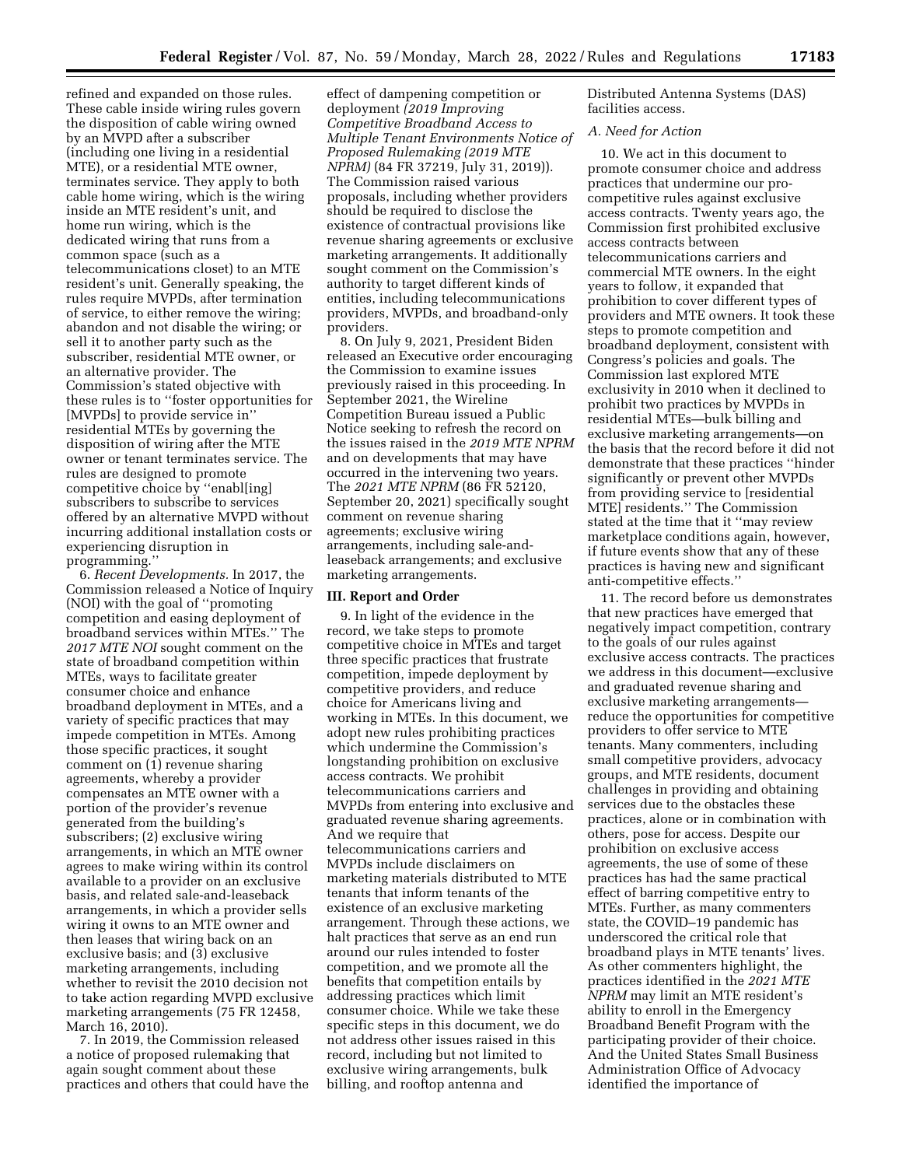refined and expanded on those rules. These cable inside wiring rules govern the disposition of cable wiring owned by an MVPD after a subscriber (including one living in a residential MTE), or a residential MTE owner, terminates service. They apply to both cable home wiring, which is the wiring inside an MTE resident's unit, and home run wiring, which is the dedicated wiring that runs from a common space (such as a telecommunications closet) to an MTE resident's unit. Generally speaking, the rules require MVPDs, after termination of service, to either remove the wiring; abandon and not disable the wiring; or sell it to another party such as the subscriber, residential MTE owner, or an alternative provider. The Commission's stated objective with these rules is to ''foster opportunities for [MVPDs] to provide service in'' residential MTEs by governing the disposition of wiring after the MTE owner or tenant terminates service. The rules are designed to promote competitive choice by ''enabl[ing] subscribers to subscribe to services offered by an alternative MVPD without incurring additional installation costs or experiencing disruption in programming.''

6. *Recent Developments.* In 2017, the Commission released a Notice of Inquiry (NOI) with the goal of ''promoting competition and easing deployment of broadband services within MTEs.'' The *2017 MTE NOI* sought comment on the state of broadband competition within MTEs, ways to facilitate greater consumer choice and enhance broadband deployment in MTEs, and a variety of specific practices that may impede competition in MTEs. Among those specific practices, it sought comment on (1) revenue sharing agreements, whereby a provider compensates an MTE owner with a portion of the provider's revenue generated from the building's subscribers; (2) exclusive wiring arrangements, in which an MTE owner agrees to make wiring within its control available to a provider on an exclusive basis, and related sale-and-leaseback arrangements, in which a provider sells wiring it owns to an MTE owner and then leases that wiring back on an exclusive basis; and (3) exclusive marketing arrangements, including whether to revisit the 2010 decision not to take action regarding MVPD exclusive marketing arrangements (75 FR 12458, March 16, 2010).

7. In 2019, the Commission released a notice of proposed rulemaking that again sought comment about these practices and others that could have the

effect of dampening competition or deployment *(2019 Improving Competitive Broadband Access to Multiple Tenant Environments Notice of Proposed Rulemaking (2019 MTE NPRM)* (84 FR 37219, July 31, 2019)). The Commission raised various proposals, including whether providers should be required to disclose the existence of contractual provisions like revenue sharing agreements or exclusive marketing arrangements. It additionally sought comment on the Commission's authority to target different kinds of entities, including telecommunications providers, MVPDs, and broadband-only providers.

8. On July 9, 2021, President Biden released an Executive order encouraging the Commission to examine issues previously raised in this proceeding. In September 2021, the Wireline Competition Bureau issued a Public Notice seeking to refresh the record on the issues raised in the *2019 MTE NPRM*  and on developments that may have occurred in the intervening two years. The *2021 MTE NPRM* (86 FR 52120, September 20, 2021) specifically sought comment on revenue sharing agreements; exclusive wiring arrangements, including sale-andleaseback arrangements; and exclusive marketing arrangements.

## **III. Report and Order**

9. In light of the evidence in the record, we take steps to promote competitive choice in MTEs and target three specific practices that frustrate competition, impede deployment by competitive providers, and reduce choice for Americans living and working in MTEs. In this document, we adopt new rules prohibiting practices which undermine the Commission's longstanding prohibition on exclusive access contracts. We prohibit telecommunications carriers and MVPDs from entering into exclusive and graduated revenue sharing agreements. And we require that telecommunications carriers and MVPDs include disclaimers on marketing materials distributed to MTE tenants that inform tenants of the existence of an exclusive marketing arrangement. Through these actions, we halt practices that serve as an end run around our rules intended to foster competition, and we promote all the benefits that competition entails by addressing practices which limit consumer choice. While we take these specific steps in this document, we do not address other issues raised in this record, including but not limited to exclusive wiring arrangements, bulk billing, and rooftop antenna and

Distributed Antenna Systems (DAS) facilities access.

# *A. Need for Action*

10. We act in this document to promote consumer choice and address practices that undermine our procompetitive rules against exclusive access contracts. Twenty years ago, the Commission first prohibited exclusive access contracts between telecommunications carriers and commercial MTE owners. In the eight years to follow, it expanded that prohibition to cover different types of providers and MTE owners. It took these steps to promote competition and broadband deployment, consistent with Congress's policies and goals. The Commission last explored MTE exclusivity in 2010 when it declined to prohibit two practices by MVPDs in residential MTEs—bulk billing and exclusive marketing arrangements—on the basis that the record before it did not demonstrate that these practices ''hinder significantly or prevent other MVPDs from providing service to [residential MTE] residents.'' The Commission stated at the time that it ''may review marketplace conditions again, however, if future events show that any of these practices is having new and significant anti-competitive effects.''

11. The record before us demonstrates that new practices have emerged that negatively impact competition, contrary to the goals of our rules against exclusive access contracts. The practices we address in this document—exclusive and graduated revenue sharing and exclusive marketing arrangements reduce the opportunities for competitive providers to offer service to MTE tenants. Many commenters, including small competitive providers, advocacy groups, and MTE residents, document challenges in providing and obtaining services due to the obstacles these practices, alone or in combination with others, pose for access. Despite our prohibition on exclusive access agreements, the use of some of these practices has had the same practical effect of barring competitive entry to MTEs. Further, as many commenters state, the COVID–19 pandemic has underscored the critical role that broadband plays in MTE tenants' lives. As other commenters highlight, the practices identified in the *2021 MTE NPRM* may limit an MTE resident's ability to enroll in the Emergency Broadband Benefit Program with the participating provider of their choice. And the United States Small Business Administration Office of Advocacy identified the importance of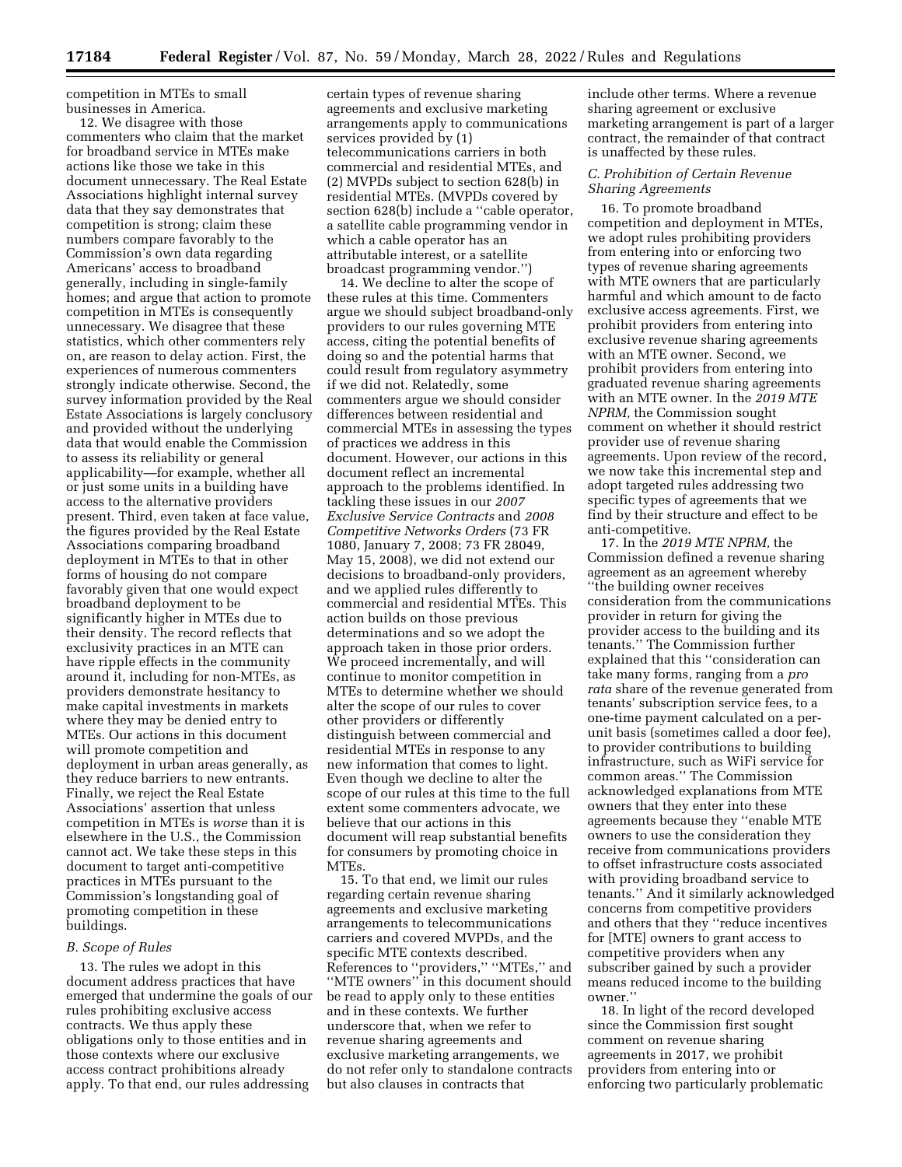competition in MTEs to small businesses in America.

12. We disagree with those commenters who claim that the market for broadband service in MTEs make actions like those we take in this document unnecessary. The Real Estate Associations highlight internal survey data that they say demonstrates that competition is strong; claim these numbers compare favorably to the Commission's own data regarding Americans' access to broadband generally, including in single-family homes; and argue that action to promote competition in MTEs is consequently unnecessary. We disagree that these statistics, which other commenters rely on, are reason to delay action. First, the experiences of numerous commenters strongly indicate otherwise. Second, the survey information provided by the Real Estate Associations is largely conclusory and provided without the underlying data that would enable the Commission to assess its reliability or general applicability—for example, whether all or just some units in a building have access to the alternative providers present. Third, even taken at face value, the figures provided by the Real Estate Associations comparing broadband deployment in MTEs to that in other forms of housing do not compare favorably given that one would expect broadband deployment to be significantly higher in MTEs due to their density. The record reflects that exclusivity practices in an MTE can have ripple effects in the community around it, including for non-MTEs, as providers demonstrate hesitancy to make capital investments in markets where they may be denied entry to MTEs. Our actions in this document will promote competition and deployment in urban areas generally, as they reduce barriers to new entrants. Finally, we reject the Real Estate Associations' assertion that unless competition in MTEs is *worse* than it is elsewhere in the U.S., the Commission cannot act. We take these steps in this document to target anti-competitive practices in MTEs pursuant to the Commission's longstanding goal of promoting competition in these buildings.

#### *B. Scope of Rules*

13. The rules we adopt in this document address practices that have emerged that undermine the goals of our rules prohibiting exclusive access contracts. We thus apply these obligations only to those entities and in those contexts where our exclusive access contract prohibitions already apply. To that end, our rules addressing

certain types of revenue sharing agreements and exclusive marketing arrangements apply to communications services provided by (1) telecommunications carriers in both commercial and residential MTEs, and (2) MVPDs subject to section 628(b) in residential MTEs. (MVPDs covered by section 628(b) include a "cable operator, a satellite cable programming vendor in which a cable operator has an attributable interest, or a satellite broadcast programming vendor.'')

14. We decline to alter the scope of these rules at this time. Commenters argue we should subject broadband-only providers to our rules governing MTE access, citing the potential benefits of doing so and the potential harms that could result from regulatory asymmetry if we did not. Relatedly, some commenters argue we should consider differences between residential and commercial MTEs in assessing the types of practices we address in this document. However, our actions in this document reflect an incremental approach to the problems identified. In tackling these issues in our *2007 Exclusive Service Contracts* and *2008 Competitive Networks Orders* (73 FR 1080, January 7, 2008; 73 FR 28049, May 15, 2008), we did not extend our decisions to broadband-only providers, and we applied rules differently to commercial and residential MTEs. This action builds on those previous determinations and so we adopt the approach taken in those prior orders. We proceed incrementally, and will continue to monitor competition in MTEs to determine whether we should alter the scope of our rules to cover other providers or differently distinguish between commercial and residential MTEs in response to any new information that comes to light. Even though we decline to alter the scope of our rules at this time to the full extent some commenters advocate, we believe that our actions in this document will reap substantial benefits for consumers by promoting choice in MTEs.

15. To that end, we limit our rules regarding certain revenue sharing agreements and exclusive marketing arrangements to telecommunications carriers and covered MVPDs, and the specific MTE contexts described. References to ''providers,'' ''MTEs,'' and ''MTE owners'' in this document should be read to apply only to these entities and in these contexts. We further underscore that, when we refer to revenue sharing agreements and exclusive marketing arrangements, we do not refer only to standalone contracts but also clauses in contracts that

include other terms. Where a revenue sharing agreement or exclusive marketing arrangement is part of a larger contract, the remainder of that contract is unaffected by these rules.

#### *C. Prohibition of Certain Revenue Sharing Agreements*

16. To promote broadband competition and deployment in MTEs, we adopt rules prohibiting providers from entering into or enforcing two types of revenue sharing agreements with MTE owners that are particularly harmful and which amount to de facto exclusive access agreements. First, we prohibit providers from entering into exclusive revenue sharing agreements with an MTE owner. Second, we prohibit providers from entering into graduated revenue sharing agreements with an MTE owner. In the *2019 MTE NPRM,* the Commission sought comment on whether it should restrict provider use of revenue sharing agreements. Upon review of the record, we now take this incremental step and adopt targeted rules addressing two specific types of agreements that we find by their structure and effect to be anti-competitive.

17. In the *2019 MTE NPRM,* the Commission defined a revenue sharing agreement as an agreement whereby ''the building owner receives consideration from the communications provider in return for giving the provider access to the building and its tenants.'' The Commission further explained that this ''consideration can take many forms, ranging from a *pro rata* share of the revenue generated from tenants' subscription service fees, to a one-time payment calculated on a perunit basis (sometimes called a door fee), to provider contributions to building infrastructure, such as WiFi service for common areas.'' The Commission acknowledged explanations from MTE owners that they enter into these agreements because they ''enable MTE owners to use the consideration they receive from communications providers to offset infrastructure costs associated with providing broadband service to tenants.'' And it similarly acknowledged concerns from competitive providers and others that they ''reduce incentives for [MTE] owners to grant access to competitive providers when any subscriber gained by such a provider means reduced income to the building owner.''

18. In light of the record developed since the Commission first sought comment on revenue sharing agreements in 2017, we prohibit providers from entering into or enforcing two particularly problematic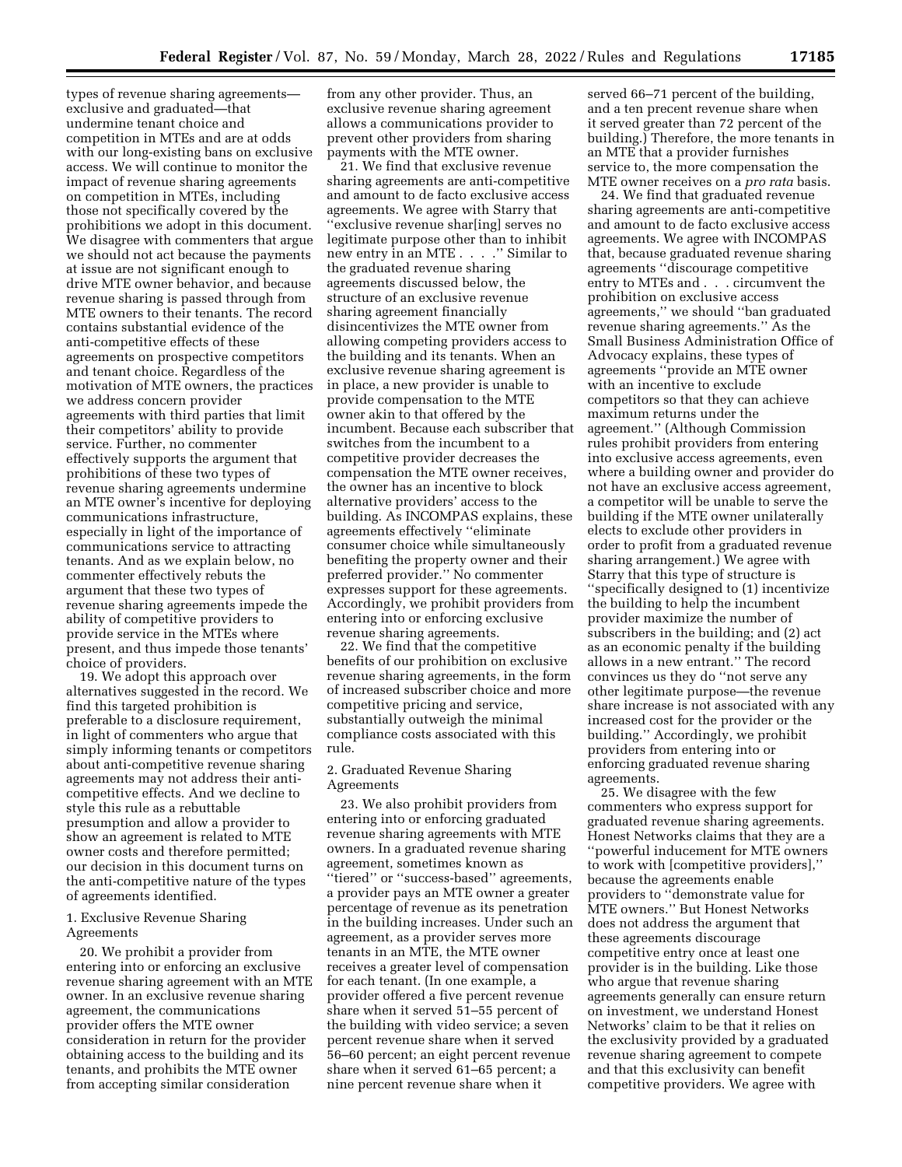types of revenue sharing agreements exclusive and graduated—that undermine tenant choice and competition in MTEs and are at odds with our long-existing bans on exclusive access. We will continue to monitor the impact of revenue sharing agreements on competition in MTEs, including those not specifically covered by the prohibitions we adopt in this document. We disagree with commenters that argue we should not act because the payments at issue are not significant enough to drive MTE owner behavior, and because revenue sharing is passed through from MTE owners to their tenants. The record contains substantial evidence of the anti-competitive effects of these agreements on prospective competitors and tenant choice. Regardless of the motivation of MTE owners, the practices we address concern provider agreements with third parties that limit their competitors' ability to provide service. Further, no commenter effectively supports the argument that prohibitions of these two types of revenue sharing agreements undermine an MTE owner's incentive for deploying communications infrastructure, especially in light of the importance of communications service to attracting tenants. And as we explain below, no commenter effectively rebuts the argument that these two types of revenue sharing agreements impede the ability of competitive providers to provide service in the MTEs where present, and thus impede those tenants' choice of providers.

19. We adopt this approach over alternatives suggested in the record. We find this targeted prohibition is preferable to a disclosure requirement, in light of commenters who argue that simply informing tenants or competitors about anti-competitive revenue sharing agreements may not address their anticompetitive effects. And we decline to style this rule as a rebuttable presumption and allow a provider to show an agreement is related to MTE owner costs and therefore permitted; our decision in this document turns on the anti-competitive nature of the types of agreements identified.

# 1. Exclusive Revenue Sharing Agreements

20. We prohibit a provider from entering into or enforcing an exclusive revenue sharing agreement with an MTE owner. In an exclusive revenue sharing agreement, the communications provider offers the MTE owner consideration in return for the provider obtaining access to the building and its tenants, and prohibits the MTE owner from accepting similar consideration

from any other provider. Thus, an exclusive revenue sharing agreement allows a communications provider to prevent other providers from sharing payments with the MTE owner.

21. We find that exclusive revenue sharing agreements are anti-competitive and amount to de facto exclusive access agreements. We agree with Starry that ''exclusive revenue shar[ing] serves no legitimate purpose other than to inhibit new entry in an MTE . . . .'' Similar to the graduated revenue sharing agreements discussed below, the structure of an exclusive revenue sharing agreement financially disincentivizes the MTE owner from allowing competing providers access to the building and its tenants. When an exclusive revenue sharing agreement is in place, a new provider is unable to provide compensation to the MTE owner akin to that offered by the incumbent. Because each subscriber that switches from the incumbent to a competitive provider decreases the compensation the MTE owner receives, the owner has an incentive to block alternative providers' access to the building. As INCOMPAS explains, these agreements effectively ''eliminate consumer choice while simultaneously benefiting the property owner and their preferred provider.'' No commenter expresses support for these agreements. Accordingly, we prohibit providers from entering into or enforcing exclusive revenue sharing agreements.

22. We find that the competitive benefits of our prohibition on exclusive revenue sharing agreements, in the form of increased subscriber choice and more competitive pricing and service, substantially outweigh the minimal compliance costs associated with this rule.

# 2. Graduated Revenue Sharing Agreements

23. We also prohibit providers from entering into or enforcing graduated revenue sharing agreements with MTE owners. In a graduated revenue sharing agreement, sometimes known as ''tiered'' or ''success-based'' agreements, a provider pays an MTE owner a greater percentage of revenue as its penetration in the building increases. Under such an agreement, as a provider serves more tenants in an MTE, the MTE owner receives a greater level of compensation for each tenant. (In one example, a provider offered a five percent revenue share when it served 51–55 percent of the building with video service; a seven percent revenue share when it served 56–60 percent; an eight percent revenue share when it served 61–65 percent; a nine percent revenue share when it

served 66–71 percent of the building, and a ten precent revenue share when it served greater than 72 percent of the building.) Therefore, the more tenants in an MTE that a provider furnishes service to, the more compensation the MTE owner receives on a *pro rata* basis.

24. We find that graduated revenue sharing agreements are anti-competitive and amount to de facto exclusive access agreements. We agree with INCOMPAS that, because graduated revenue sharing agreements ''discourage competitive entry to MTEs and . . . circumvent the prohibition on exclusive access agreements,'' we should ''ban graduated revenue sharing agreements.'' As the Small Business Administration Office of Advocacy explains, these types of agreements ''provide an MTE owner with an incentive to exclude competitors so that they can achieve maximum returns under the agreement.'' (Although Commission rules prohibit providers from entering into exclusive access agreements, even where a building owner and provider do not have an exclusive access agreement, a competitor will be unable to serve the building if the MTE owner unilaterally elects to exclude other providers in order to profit from a graduated revenue sharing arrangement.) We agree with Starry that this type of structure is ''specifically designed to (1) incentivize the building to help the incumbent provider maximize the number of subscribers in the building; and (2) act as an economic penalty if the building allows in a new entrant.'' The record convinces us they do ''not serve any other legitimate purpose—the revenue share increase is not associated with any increased cost for the provider or the building.'' Accordingly, we prohibit providers from entering into or enforcing graduated revenue sharing agreements.

25. We disagree with the few commenters who express support for graduated revenue sharing agreements. Honest Networks claims that they are a ''powerful inducement for MTE owners to work with [competitive providers],'' because the agreements enable providers to ''demonstrate value for MTE owners.'' But Honest Networks does not address the argument that these agreements discourage competitive entry once at least one provider is in the building. Like those who argue that revenue sharing agreements generally can ensure return on investment, we understand Honest Networks' claim to be that it relies on the exclusivity provided by a graduated revenue sharing agreement to compete and that this exclusivity can benefit competitive providers. We agree with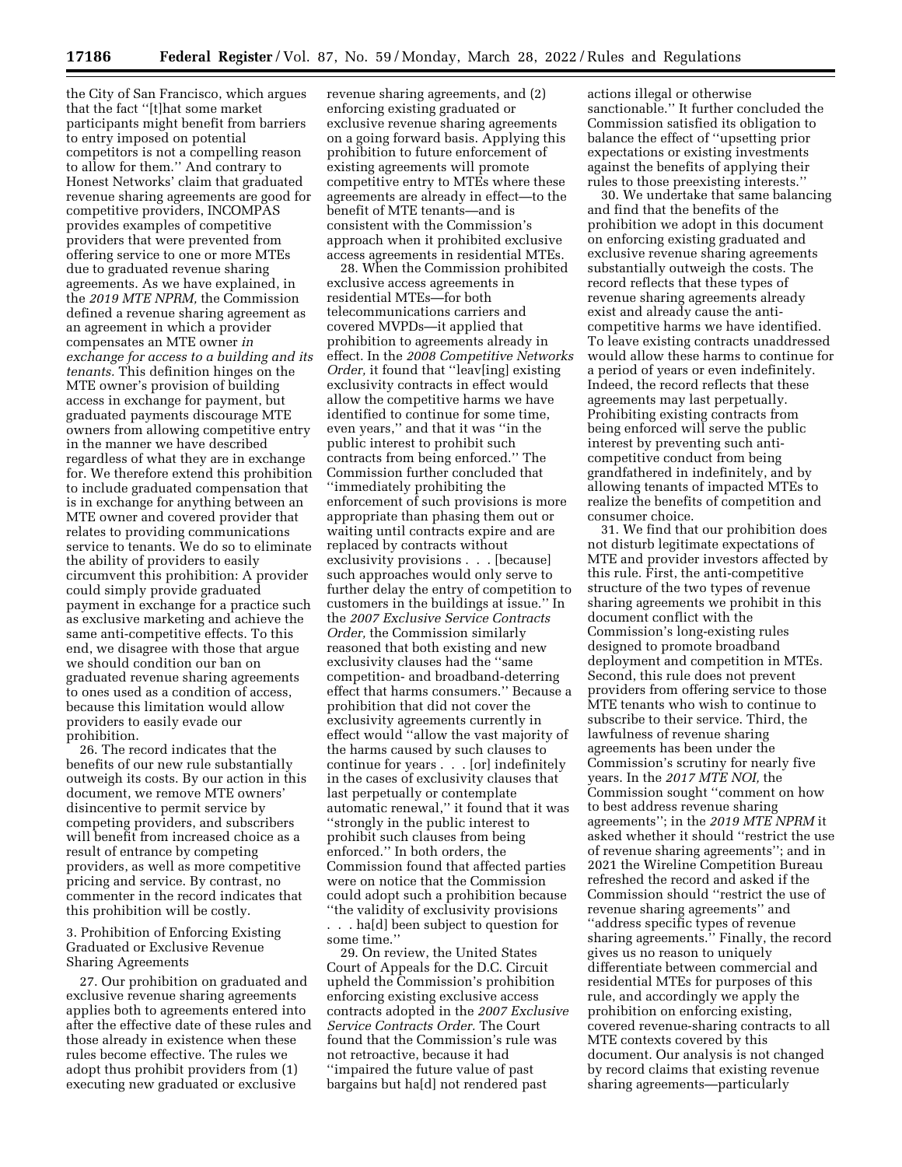the City of San Francisco, which argues that the fact ''[t]hat some market participants might benefit from barriers to entry imposed on potential competitors is not a compelling reason to allow for them.'' And contrary to Honest Networks' claim that graduated revenue sharing agreements are good for competitive providers, INCOMPAS provides examples of competitive providers that were prevented from offering service to one or more MTEs due to graduated revenue sharing agreements. As we have explained, in the *2019 MTE NPRM,* the Commission defined a revenue sharing agreement as an agreement in which a provider compensates an MTE owner *in exchange for access to a building and its tenants.* This definition hinges on the MTE owner's provision of building access in exchange for payment, but graduated payments discourage MTE owners from allowing competitive entry in the manner we have described regardless of what they are in exchange for. We therefore extend this prohibition to include graduated compensation that is in exchange for anything between an MTE owner and covered provider that relates to providing communications service to tenants. We do so to eliminate the ability of providers to easily circumvent this prohibition: A provider could simply provide graduated payment in exchange for a practice such as exclusive marketing and achieve the same anti-competitive effects. To this end, we disagree with those that argue we should condition our ban on graduated revenue sharing agreements to ones used as a condition of access, because this limitation would allow providers to easily evade our prohibition.

26. The record indicates that the benefits of our new rule substantially outweigh its costs. By our action in this document, we remove MTE owners' disincentive to permit service by competing providers, and subscribers will benefit from increased choice as a result of entrance by competing providers, as well as more competitive pricing and service. By contrast, no commenter in the record indicates that this prohibition will be costly.

3. Prohibition of Enforcing Existing Graduated or Exclusive Revenue Sharing Agreements

27. Our prohibition on graduated and exclusive revenue sharing agreements applies both to agreements entered into after the effective date of these rules and those already in existence when these rules become effective. The rules we adopt thus prohibit providers from (1) executing new graduated or exclusive

revenue sharing agreements, and (2) enforcing existing graduated or exclusive revenue sharing agreements on a going forward basis. Applying this prohibition to future enforcement of existing agreements will promote competitive entry to MTEs where these agreements are already in effect—to the benefit of MTE tenants—and is consistent with the Commission's approach when it prohibited exclusive access agreements in residential MTEs.

28. When the Commission prohibited exclusive access agreements in residential MTEs—for both telecommunications carriers and covered MVPDs—it applied that prohibition to agreements already in effect. In the *2008 Competitive Networks Order,* it found that ''leav[ing] existing exclusivity contracts in effect would allow the competitive harms we have identified to continue for some time, even years,'' and that it was ''in the public interest to prohibit such contracts from being enforced.'' The Commission further concluded that ''immediately prohibiting the enforcement of such provisions is more appropriate than phasing them out or waiting until contracts expire and are replaced by contracts without exclusivity provisions . . . [because] such approaches would only serve to further delay the entry of competition to customers in the buildings at issue.'' In the *2007 Exclusive Service Contracts Order,* the Commission similarly reasoned that both existing and new exclusivity clauses had the ''same competition- and broadband-deterring effect that harms consumers.'' Because a prohibition that did not cover the exclusivity agreements currently in effect would ''allow the vast majority of the harms caused by such clauses to continue for years . . . [or] indefinitely in the cases of exclusivity clauses that last perpetually or contemplate automatic renewal,'' it found that it was ''strongly in the public interest to prohibit such clauses from being enforced.'' In both orders, the Commission found that affected parties were on notice that the Commission could adopt such a prohibition because ''the validity of exclusivity provisions

. . . ha[d] been subject to question for some time.''

29. On review, the United States Court of Appeals for the D.C. Circuit upheld the Commission's prohibition enforcing existing exclusive access contracts adopted in the *2007 Exclusive Service Contracts Order.* The Court found that the Commission's rule was not retroactive, because it had ''impaired the future value of past bargains but ha[d] not rendered past

actions illegal or otherwise sanctionable.'' It further concluded the Commission satisfied its obligation to balance the effect of ''upsetting prior expectations or existing investments against the benefits of applying their rules to those preexisting interests.''

30. We undertake that same balancing and find that the benefits of the prohibition we adopt in this document on enforcing existing graduated and exclusive revenue sharing agreements substantially outweigh the costs. The record reflects that these types of revenue sharing agreements already exist and already cause the anticompetitive harms we have identified. To leave existing contracts unaddressed would allow these harms to continue for a period of years or even indefinitely. Indeed, the record reflects that these agreements may last perpetually. Prohibiting existing contracts from being enforced will serve the public interest by preventing such anticompetitive conduct from being grandfathered in indefinitely, and by allowing tenants of impacted MTEs to realize the benefits of competition and consumer choice.

31. We find that our prohibition does not disturb legitimate expectations of MTE and provider investors affected by this rule. First, the anti-competitive structure of the two types of revenue sharing agreements we prohibit in this document conflict with the Commission's long-existing rules designed to promote broadband deployment and competition in MTEs. Second, this rule does not prevent providers from offering service to those MTE tenants who wish to continue to subscribe to their service. Third, the lawfulness of revenue sharing agreements has been under the Commission's scrutiny for nearly five years. In the *2017 MTE NOI,* the Commission sought ''comment on how to best address revenue sharing agreements''; in the *2019 MTE NPRM* it asked whether it should ''restrict the use of revenue sharing agreements''; and in 2021 the Wireline Competition Bureau refreshed the record and asked if the Commission should ''restrict the use of revenue sharing agreements'' and ''address specific types of revenue sharing agreements.'' Finally, the record gives us no reason to uniquely differentiate between commercial and residential MTEs for purposes of this rule, and accordingly we apply the prohibition on enforcing existing, covered revenue-sharing contracts to all MTE contexts covered by this document. Our analysis is not changed by record claims that existing revenue sharing agreements—particularly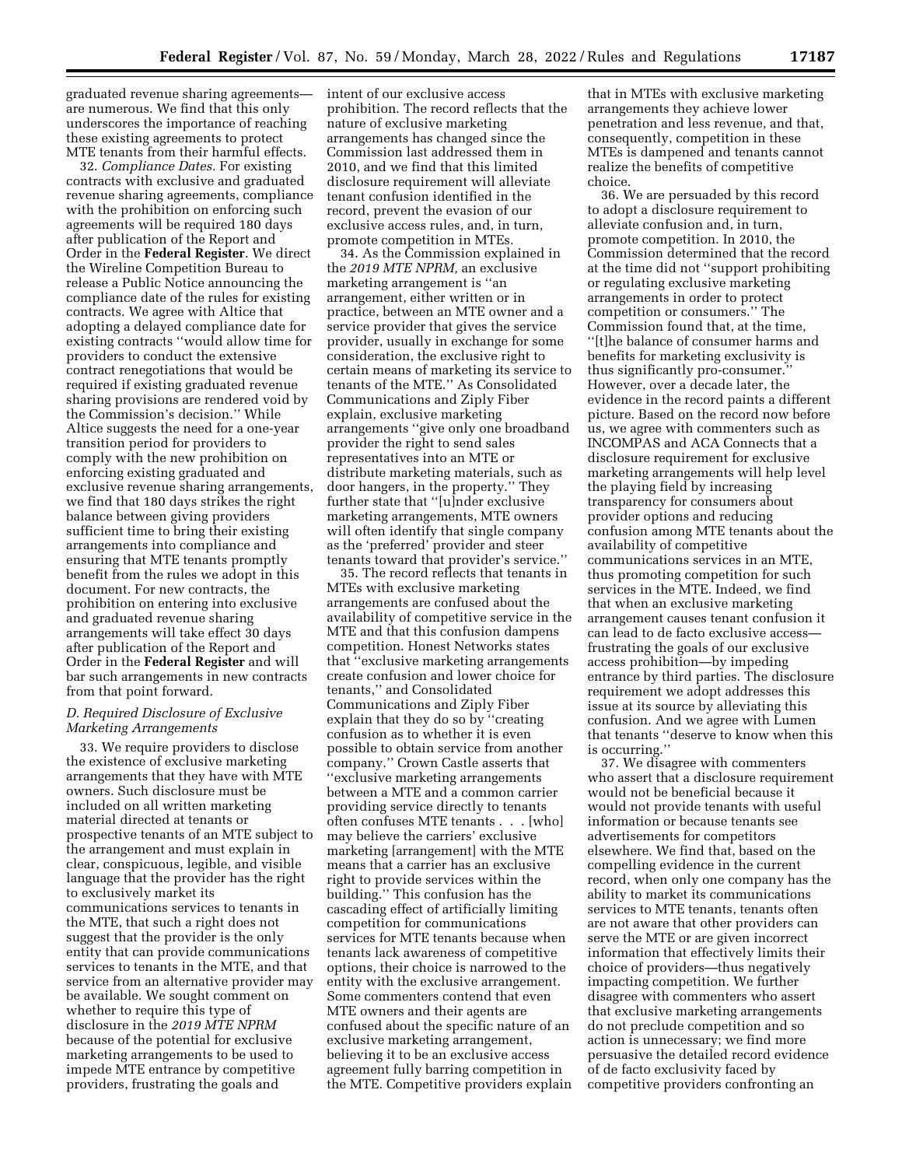graduated revenue sharing agreements are numerous. We find that this only underscores the importance of reaching these existing agreements to protect MTE tenants from their harmful effects.

32. *Compliance Dates.* For existing contracts with exclusive and graduated revenue sharing agreements, compliance with the prohibition on enforcing such agreements will be required 180 days after publication of the Report and Order in the **Federal Register**. We direct the Wireline Competition Bureau to release a Public Notice announcing the compliance date of the rules for existing contracts. We agree with Altice that adopting a delayed compliance date for existing contracts ''would allow time for providers to conduct the extensive contract renegotiations that would be required if existing graduated revenue sharing provisions are rendered void by the Commission's decision.'' While Altice suggests the need for a one-year transition period for providers to comply with the new prohibition on enforcing existing graduated and exclusive revenue sharing arrangements, we find that 180 days strikes the right balance between giving providers sufficient time to bring their existing arrangements into compliance and ensuring that MTE tenants promptly benefit from the rules we adopt in this document. For new contracts, the prohibition on entering into exclusive and graduated revenue sharing arrangements will take effect 30 days after publication of the Report and Order in the **Federal Register** and will bar such arrangements in new contracts from that point forward.

# *D. Required Disclosure of Exclusive Marketing Arrangements*

33. We require providers to disclose the existence of exclusive marketing arrangements that they have with MTE owners. Such disclosure must be included on all written marketing material directed at tenants or prospective tenants of an MTE subject to the arrangement and must explain in clear, conspicuous, legible, and visible language that the provider has the right to exclusively market its communications services to tenants in the MTE, that such a right does not suggest that the provider is the only entity that can provide communications services to tenants in the MTE, and that service from an alternative provider may be available. We sought comment on whether to require this type of disclosure in the *2019 MTE NPRM*  because of the potential for exclusive marketing arrangements to be used to impede MTE entrance by competitive providers, frustrating the goals and

intent of our exclusive access prohibition. The record reflects that the nature of exclusive marketing arrangements has changed since the Commission last addressed them in 2010, and we find that this limited disclosure requirement will alleviate tenant confusion identified in the record, prevent the evasion of our exclusive access rules, and, in turn, promote competition in MTEs.

34. As the Commission explained in the *2019 MTE NPRM,* an exclusive marketing arrangement is ''an arrangement, either written or in practice, between an MTE owner and a service provider that gives the service provider, usually in exchange for some consideration, the exclusive right to certain means of marketing its service to tenants of the MTE.'' As Consolidated Communications and Ziply Fiber explain, exclusive marketing arrangements ''give only one broadband provider the right to send sales representatives into an MTE or distribute marketing materials, such as door hangers, in the property.'' They further state that "[u]nder exclusive marketing arrangements, MTE owners will often identify that single company as the 'preferred' provider and steer tenants toward that provider's service.''

35. The record reflects that tenants in MTEs with exclusive marketing arrangements are confused about the availability of competitive service in the MTE and that this confusion dampens competition. Honest Networks states that ''exclusive marketing arrangements create confusion and lower choice for tenants,'' and Consolidated Communications and Ziply Fiber explain that they do so by ''creating confusion as to whether it is even possible to obtain service from another company.'' Crown Castle asserts that ''exclusive marketing arrangements between a MTE and a common carrier providing service directly to tenants often confuses MTE tenants . . . [who] may believe the carriers' exclusive marketing [arrangement] with the MTE means that a carrier has an exclusive right to provide services within the building.'' This confusion has the cascading effect of artificially limiting competition for communications services for MTE tenants because when tenants lack awareness of competitive options, their choice is narrowed to the entity with the exclusive arrangement. Some commenters contend that even MTE owners and their agents are confused about the specific nature of an exclusive marketing arrangement, believing it to be an exclusive access agreement fully barring competition in the MTE. Competitive providers explain

that in MTEs with exclusive marketing arrangements they achieve lower penetration and less revenue, and that, consequently, competition in these MTEs is dampened and tenants cannot realize the benefits of competitive choice.

36. We are persuaded by this record to adopt a disclosure requirement to alleviate confusion and, in turn, promote competition. In 2010, the Commission determined that the record at the time did not ''support prohibiting or regulating exclusive marketing arrangements in order to protect competition or consumers.'' The Commission found that, at the time, ''[t]he balance of consumer harms and benefits for marketing exclusivity is thus significantly pro-consumer.'' However, over a decade later, the evidence in the record paints a different picture. Based on the record now before us, we agree with commenters such as INCOMPAS and ACA Connects that a disclosure requirement for exclusive marketing arrangements will help level the playing field by increasing transparency for consumers about provider options and reducing confusion among MTE tenants about the availability of competitive communications services in an MTE, thus promoting competition for such services in the MTE. Indeed, we find that when an exclusive marketing arrangement causes tenant confusion it can lead to de facto exclusive access frustrating the goals of our exclusive access prohibition—by impeding entrance by third parties. The disclosure requirement we adopt addresses this issue at its source by alleviating this confusion. And we agree with Lumen that tenants ''deserve to know when this is occurring.''

37. We disagree with commenters who assert that a disclosure requirement would not be beneficial because it would not provide tenants with useful information or because tenants see advertisements for competitors elsewhere. We find that, based on the compelling evidence in the current record, when only one company has the ability to market its communications services to MTE tenants, tenants often are not aware that other providers can serve the MTE or are given incorrect information that effectively limits their choice of providers—thus negatively impacting competition. We further disagree with commenters who assert that exclusive marketing arrangements do not preclude competition and so action is unnecessary; we find more persuasive the detailed record evidence of de facto exclusivity faced by competitive providers confronting an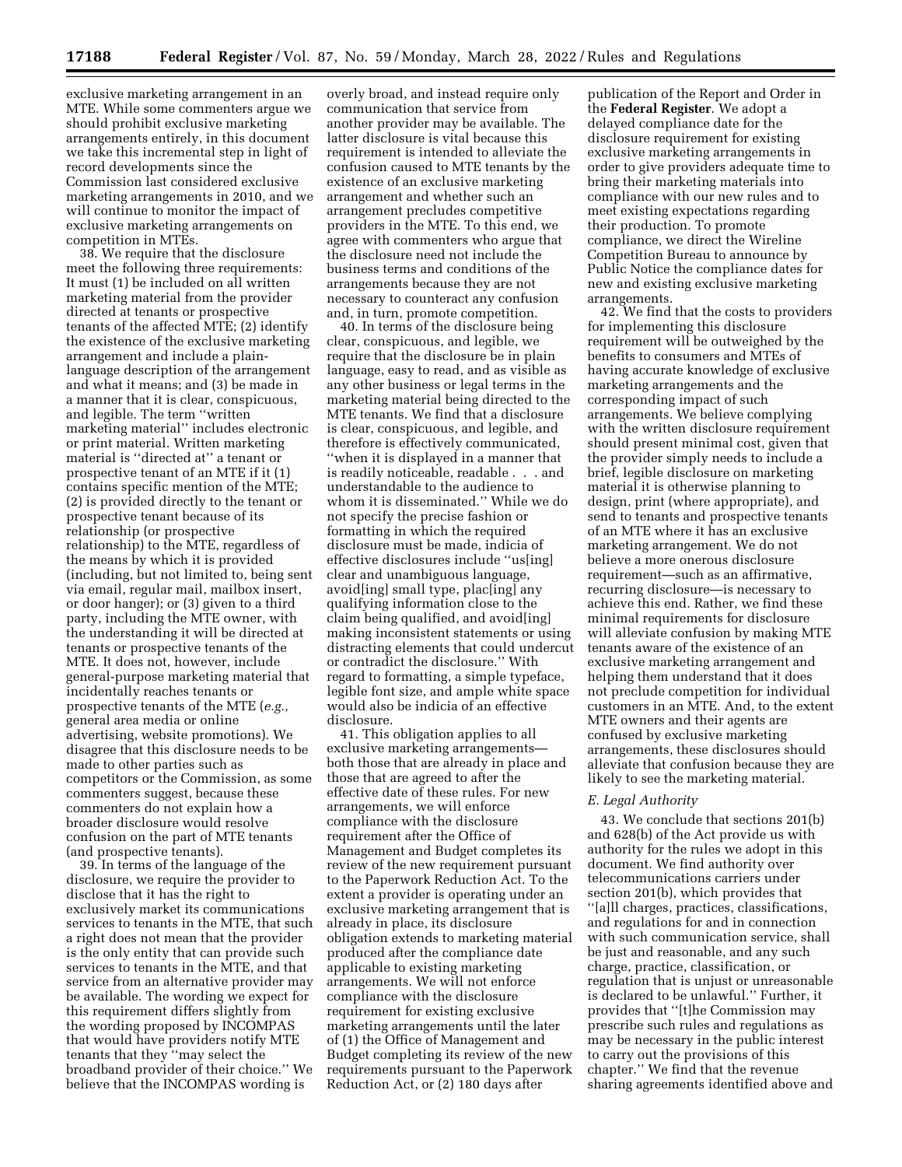exclusive marketing arrangement in an MTE. While some commenters argue we should prohibit exclusive marketing arrangements entirely, in this document we take this incremental step in light of record developments since the Commission last considered exclusive marketing arrangements in 2010, and we will continue to monitor the impact of exclusive marketing arrangements on competition in MTEs.

38. We require that the disclosure meet the following three requirements: It must (1) be included on all written marketing material from the provider directed at tenants or prospective tenants of the affected MTE; (2) identify the existence of the exclusive marketing arrangement and include a plainlanguage description of the arrangement and what it means; and (3) be made in a manner that it is clear, conspicuous, and legible. The term ''written marketing material'' includes electronic or print material. Written marketing material is ''directed at'' a tenant or prospective tenant of an MTE if it (1) contains specific mention of the MTE; (2) is provided directly to the tenant or prospective tenant because of its relationship (or prospective relationship) to the MTE, regardless of the means by which it is provided (including, but not limited to, being sent via email, regular mail, mailbox insert, or door hanger); or (3) given to a third party, including the MTE owner, with the understanding it will be directed at tenants or prospective tenants of the MTE. It does not, however, include general-purpose marketing material that incidentally reaches tenants or prospective tenants of the MTE (*e.g.,*  general area media or online advertising, website promotions). We disagree that this disclosure needs to be made to other parties such as competitors or the Commission, as some commenters suggest, because these commenters do not explain how a broader disclosure would resolve confusion on the part of MTE tenants (and prospective tenants).

39. In terms of the language of the disclosure, we require the provider to disclose that it has the right to exclusively market its communications services to tenants in the MTE, that such a right does not mean that the provider is the only entity that can provide such services to tenants in the MTE, and that service from an alternative provider may be available. The wording we expect for this requirement differs slightly from the wording proposed by INCOMPAS that would have providers notify MTE tenants that they ''may select the broadband provider of their choice.'' We believe that the INCOMPAS wording is

overly broad, and instead require only communication that service from another provider may be available. The latter disclosure is vital because this requirement is intended to alleviate the confusion caused to MTE tenants by the existence of an exclusive marketing arrangement and whether such an arrangement precludes competitive providers in the MTE. To this end, we agree with commenters who argue that the disclosure need not include the business terms and conditions of the arrangements because they are not necessary to counteract any confusion and, in turn, promote competition.

40. In terms of the disclosure being clear, conspicuous, and legible, we require that the disclosure be in plain language, easy to read, and as visible as any other business or legal terms in the marketing material being directed to the MTE tenants. We find that a disclosure is clear, conspicuous, and legible, and therefore is effectively communicated, ''when it is displayed in a manner that is readily noticeable, readable . . . and understandable to the audience to whom it is disseminated.'' While we do not specify the precise fashion or formatting in which the required disclosure must be made, indicia of effective disclosures include ''us[ing] clear and unambiguous language, avoid[ing] small type, plac[ing] any qualifying information close to the claim being qualified, and avoid[ing] making inconsistent statements or using distracting elements that could undercut or contradict the disclosure.'' With regard to formatting, a simple typeface, legible font size, and ample white space would also be indicia of an effective disclosure.

41. This obligation applies to all exclusive marketing arrangements both those that are already in place and those that are agreed to after the effective date of these rules. For new arrangements, we will enforce compliance with the disclosure requirement after the Office of Management and Budget completes its review of the new requirement pursuant to the Paperwork Reduction Act. To the extent a provider is operating under an exclusive marketing arrangement that is already in place, its disclosure obligation extends to marketing material produced after the compliance date applicable to existing marketing arrangements. We will not enforce compliance with the disclosure requirement for existing exclusive marketing arrangements until the later of (1) the Office of Management and Budget completing its review of the new requirements pursuant to the Paperwork Reduction Act, or (2) 180 days after

publication of the Report and Order in the **Federal Register**. We adopt a delayed compliance date for the disclosure requirement for existing exclusive marketing arrangements in order to give providers adequate time to bring their marketing materials into compliance with our new rules and to meet existing expectations regarding their production. To promote compliance, we direct the Wireline Competition Bureau to announce by Public Notice the compliance dates for new and existing exclusive marketing arrangements.

42. We find that the costs to providers for implementing this disclosure requirement will be outweighed by the benefits to consumers and MTEs of having accurate knowledge of exclusive marketing arrangements and the corresponding impact of such arrangements. We believe complying with the written disclosure requirement should present minimal cost, given that the provider simply needs to include a brief, legible disclosure on marketing material it is otherwise planning to design, print (where appropriate), and send to tenants and prospective tenants of an MTE where it has an exclusive marketing arrangement. We do not believe a more onerous disclosure requirement—such as an affirmative, recurring disclosure—is necessary to achieve this end. Rather, we find these minimal requirements for disclosure will alleviate confusion by making MTE tenants aware of the existence of an exclusive marketing arrangement and helping them understand that it does not preclude competition for individual customers in an MTE. And, to the extent MTE owners and their agents are confused by exclusive marketing arrangements, these disclosures should alleviate that confusion because they are likely to see the marketing material.

#### *E. Legal Authority*

43. We conclude that sections 201(b) and 628(b) of the Act provide us with authority for the rules we adopt in this document. We find authority over telecommunications carriers under section 201(b), which provides that ''[a]ll charges, practices, classifications, and regulations for and in connection with such communication service, shall be just and reasonable, and any such charge, practice, classification, or regulation that is unjust or unreasonable is declared to be unlawful.'' Further, it provides that ''[t]he Commission may prescribe such rules and regulations as may be necessary in the public interest to carry out the provisions of this chapter.'' We find that the revenue sharing agreements identified above and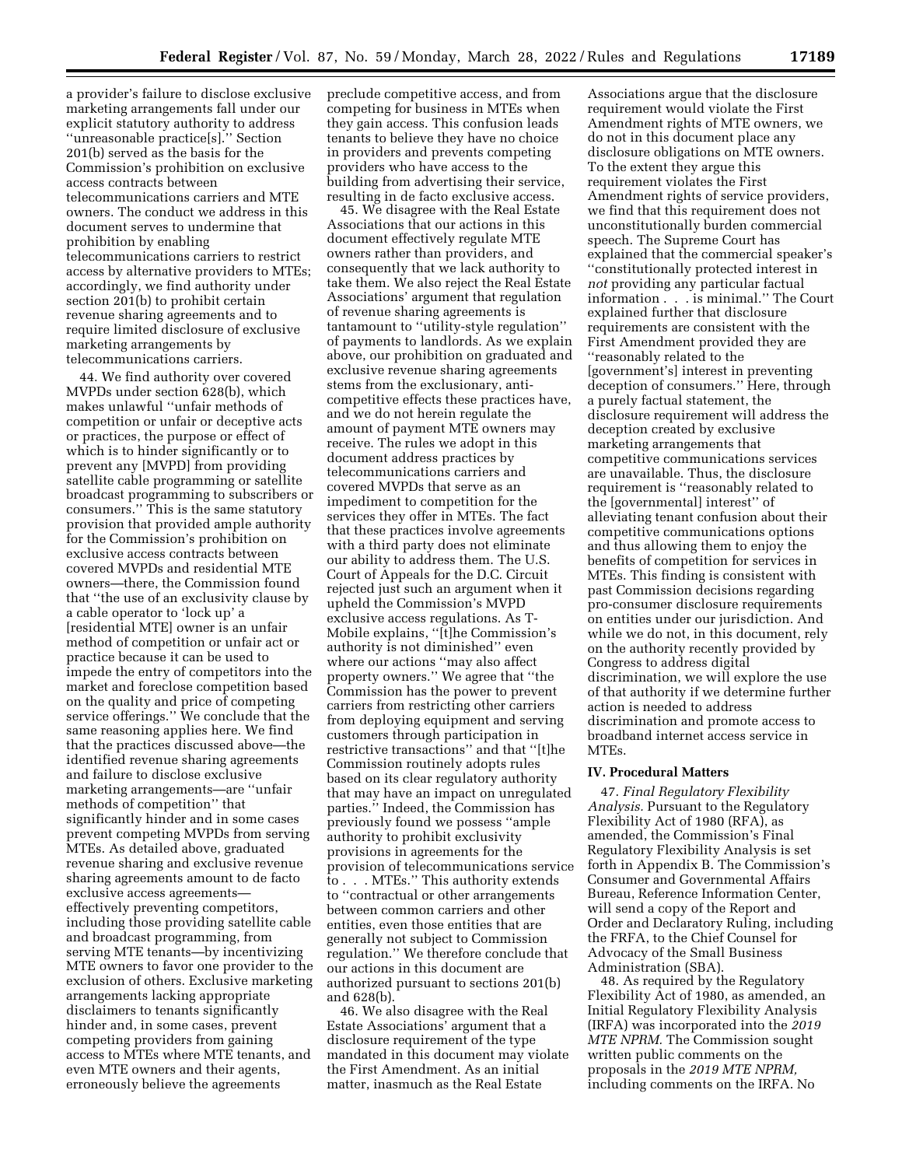a provider's failure to disclose exclusive marketing arrangements fall under our explicit statutory authority to address ''unreasonable practice[s].'' Section 201(b) served as the basis for the Commission's prohibition on exclusive access contracts between telecommunications carriers and MTE owners. The conduct we address in this document serves to undermine that prohibition by enabling telecommunications carriers to restrict access by alternative providers to MTEs; accordingly, we find authority under section 201(b) to prohibit certain revenue sharing agreements and to require limited disclosure of exclusive marketing arrangements by telecommunications carriers.

44. We find authority over covered MVPDs under section 628(b), which makes unlawful ''unfair methods of competition or unfair or deceptive acts or practices, the purpose or effect of which is to hinder significantly or to prevent any [MVPD] from providing satellite cable programming or satellite broadcast programming to subscribers or consumers.'' This is the same statutory provision that provided ample authority for the Commission's prohibition on exclusive access contracts between covered MVPDs and residential MTE owners—there, the Commission found that ''the use of an exclusivity clause by a cable operator to 'lock up' a [residential MTE] owner is an unfair method of competition or unfair act or practice because it can be used to impede the entry of competitors into the market and foreclose competition based on the quality and price of competing service offerings.'' We conclude that the same reasoning applies here. We find that the practices discussed above—the identified revenue sharing agreements and failure to disclose exclusive marketing arrangements—are ''unfair methods of competition'' that significantly hinder and in some cases prevent competing MVPDs from serving MTEs. As detailed above, graduated revenue sharing and exclusive revenue sharing agreements amount to de facto exclusive access agreements effectively preventing competitors, including those providing satellite cable and broadcast programming, from serving MTE tenants—by incentivizing MTE owners to favor one provider to the exclusion of others. Exclusive marketing arrangements lacking appropriate disclaimers to tenants significantly hinder and, in some cases, prevent competing providers from gaining access to MTEs where MTE tenants, and even MTE owners and their agents, erroneously believe the agreements

preclude competitive access, and from competing for business in MTEs when they gain access. This confusion leads tenants to believe they have no choice in providers and prevents competing providers who have access to the building from advertising their service, resulting in de facto exclusive access.

45. We disagree with the Real Estate Associations that our actions in this document effectively regulate MTE owners rather than providers, and consequently that we lack authority to take them. We also reject the Real Estate Associations' argument that regulation of revenue sharing agreements is tantamount to ''utility-style regulation'' of payments to landlords. As we explain above, our prohibition on graduated and exclusive revenue sharing agreements stems from the exclusionary, anticompetitive effects these practices have, and we do not herein regulate the amount of payment MTE owners may receive. The rules we adopt in this document address practices by telecommunications carriers and covered MVPDs that serve as an impediment to competition for the services they offer in MTEs. The fact that these practices involve agreements with a third party does not eliminate our ability to address them. The U.S. Court of Appeals for the D.C. Circuit rejected just such an argument when it upheld the Commission's MVPD exclusive access regulations. As T-Mobile explains, ''[t]he Commission's authority is not diminished'' even where our actions ''may also affect property owners.'' We agree that ''the Commission has the power to prevent carriers from restricting other carriers from deploying equipment and serving customers through participation in restrictive transactions'' and that ''[t]he Commission routinely adopts rules based on its clear regulatory authority that may have an impact on unregulated parties.'' Indeed, the Commission has previously found we possess ''ample authority to prohibit exclusivity provisions in agreements for the provision of telecommunications service to . . . MTEs.'' This authority extends to ''contractual or other arrangements between common carriers and other entities, even those entities that are generally not subject to Commission regulation.'' We therefore conclude that our actions in this document are authorized pursuant to sections 201(b) and 628(b).

46. We also disagree with the Real Estate Associations' argument that a disclosure requirement of the type mandated in this document may violate the First Amendment. As an initial matter, inasmuch as the Real Estate

Associations argue that the disclosure requirement would violate the First Amendment rights of MTE owners, we do not in this document place any disclosure obligations on MTE owners. To the extent they argue this requirement violates the First Amendment rights of service providers, we find that this requirement does not unconstitutionally burden commercial speech. The Supreme Court has explained that the commercial speaker's ''constitutionally protected interest in *not* providing any particular factual information . . . is minimal.'' The Court explained further that disclosure requirements are consistent with the First Amendment provided they are ''reasonably related to the [government's] interest in preventing deception of consumers.'' Here, through a purely factual statement, the disclosure requirement will address the deception created by exclusive marketing arrangements that competitive communications services are unavailable. Thus, the disclosure requirement is ''reasonably related to the [governmental] interest'' of alleviating tenant confusion about their competitive communications options and thus allowing them to enjoy the benefits of competition for services in MTEs. This finding is consistent with past Commission decisions regarding pro-consumer disclosure requirements on entities under our jurisdiction. And while we do not, in this document, rely on the authority recently provided by Congress to address digital discrimination, we will explore the use of that authority if we determine further action is needed to address discrimination and promote access to broadband internet access service in MTEs.

#### **IV. Procedural Matters**

47. *Final Regulatory Flexibility Analysis.* Pursuant to the Regulatory Flexibility Act of 1980 (RFA), as amended, the Commission's Final Regulatory Flexibility Analysis is set forth in Appendix B. The Commission's Consumer and Governmental Affairs Bureau, Reference Information Center, will send a copy of the Report and Order and Declaratory Ruling, including the FRFA, to the Chief Counsel for Advocacy of the Small Business Administration (SBA).

48. As required by the Regulatory Flexibility Act of 1980, as amended, an Initial Regulatory Flexibility Analysis (IRFA) was incorporated into the *2019 MTE NPRM.* The Commission sought written public comments on the proposals in the *2019 MTE NPRM,*  including comments on the IRFA. No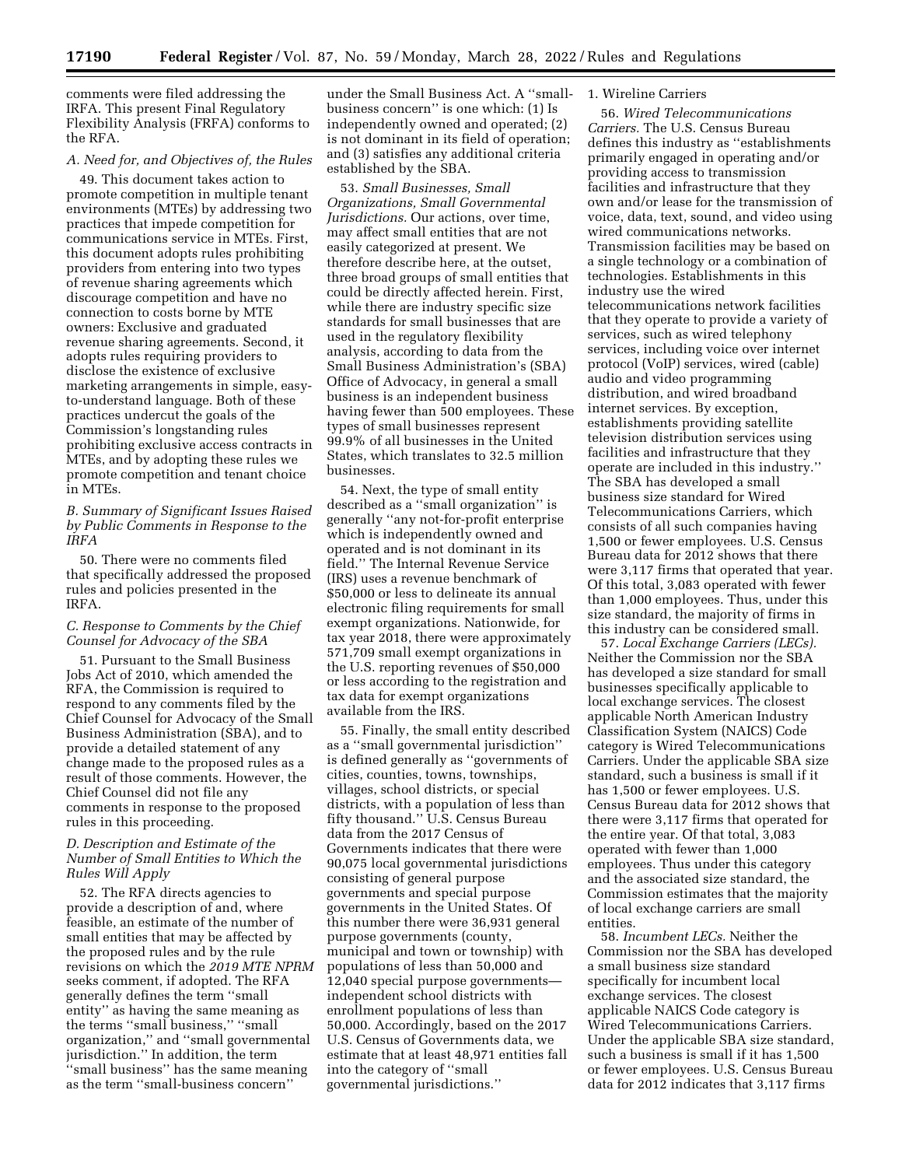comments were filed addressing the IRFA. This present Final Regulatory Flexibility Analysis (FRFA) conforms to the RFA.

# *A. Need for, and Objectives of, the Rules*

49. This document takes action to promote competition in multiple tenant environments (MTEs) by addressing two practices that impede competition for communications service in MTEs. First, this document adopts rules prohibiting providers from entering into two types of revenue sharing agreements which discourage competition and have no connection to costs borne by MTE owners: Exclusive and graduated revenue sharing agreements. Second, it adopts rules requiring providers to disclose the existence of exclusive marketing arrangements in simple, easyto-understand language. Both of these practices undercut the goals of the Commission's longstanding rules prohibiting exclusive access contracts in MTEs, and by adopting these rules we promote competition and tenant choice in MTEs.

*B. Summary of Significant Issues Raised by Public Comments in Response to the IRFA* 

50. There were no comments filed that specifically addressed the proposed rules and policies presented in the IRFA.

# *C. Response to Comments by the Chief Counsel for Advocacy of the SBA*

51. Pursuant to the Small Business Jobs Act of 2010, which amended the RFA, the Commission is required to respond to any comments filed by the Chief Counsel for Advocacy of the Small Business Administration (SBA), and to provide a detailed statement of any change made to the proposed rules as a result of those comments. However, the Chief Counsel did not file any comments in response to the proposed rules in this proceeding.

## *D. Description and Estimate of the Number of Small Entities to Which the Rules Will Apply*

52. The RFA directs agencies to provide a description of and, where feasible, an estimate of the number of small entities that may be affected by the proposed rules and by the rule revisions on which the *2019 MTE NPRM*  seeks comment, if adopted. The RFA generally defines the term ''small entity'' as having the same meaning as the terms ''small business,'' ''small organization,'' and ''small governmental jurisdiction.'' In addition, the term ''small business'' has the same meaning as the term ''small-business concern''

under the Small Business Act. A ''smallbusiness concern'' is one which: (1) Is independently owned and operated; (2) is not dominant in its field of operation; and (3) satisfies any additional criteria established by the SBA.

53. *Small Businesses, Small Organizations, Small Governmental Jurisdictions.* Our actions, over time, may affect small entities that are not easily categorized at present. We therefore describe here, at the outset, three broad groups of small entities that could be directly affected herein. First, while there are industry specific size standards for small businesses that are used in the regulatory flexibility analysis, according to data from the Small Business Administration's (SBA) Office of Advocacy, in general a small business is an independent business having fewer than 500 employees. These types of small businesses represent 99.9% of all businesses in the United States, which translates to 32.5 million businesses.

54. Next, the type of small entity described as a ''small organization'' is generally ''any not-for-profit enterprise which is independently owned and operated and is not dominant in its field.'' The Internal Revenue Service (IRS) uses a revenue benchmark of \$50,000 or less to delineate its annual electronic filing requirements for small exempt organizations. Nationwide, for tax year 2018, there were approximately 571,709 small exempt organizations in the U.S. reporting revenues of \$50,000 or less according to the registration and tax data for exempt organizations available from the IRS.

55. Finally, the small entity described as a ''small governmental jurisdiction'' is defined generally as ''governments of cities, counties, towns, townships, villages, school districts, or special districts, with a population of less than fifty thousand.'' U.S. Census Bureau data from the 2017 Census of Governments indicates that there were 90,075 local governmental jurisdictions consisting of general purpose governments and special purpose governments in the United States. Of this number there were 36,931 general purpose governments (county, municipal and town or township) with populations of less than 50,000 and 12,040 special purpose governments independent school districts with enrollment populations of less than 50,000. Accordingly, based on the 2017 U.S. Census of Governments data, we estimate that at least 48,971 entities fall into the category of ''small governmental jurisdictions.''

# 1. Wireline Carriers

56. *Wired Telecommunications Carriers.* The U.S. Census Bureau defines this industry as ''establishments primarily engaged in operating and/or providing access to transmission facilities and infrastructure that they own and/or lease for the transmission of voice, data, text, sound, and video using wired communications networks. Transmission facilities may be based on a single technology or a combination of technologies. Establishments in this industry use the wired telecommunications network facilities that they operate to provide a variety of services, such as wired telephony services, including voice over internet protocol (VoIP) services, wired (cable) audio and video programming distribution, and wired broadband internet services. By exception, establishments providing satellite television distribution services using facilities and infrastructure that they operate are included in this industry.'' The SBA has developed a small business size standard for Wired Telecommunications Carriers, which consists of all such companies having 1,500 or fewer employees. U.S. Census Bureau data for 2012 shows that there were 3,117 firms that operated that year. Of this total, 3,083 operated with fewer than 1,000 employees. Thus, under this size standard, the majority of firms in this industry can be considered small.

57. *Local Exchange Carriers (LECs).*  Neither the Commission nor the SBA has developed a size standard for small businesses specifically applicable to local exchange services. The closest applicable North American Industry Classification System (NAICS) Code category is Wired Telecommunications Carriers. Under the applicable SBA size standard, such a business is small if it has 1,500 or fewer employees. U.S. Census Bureau data for 2012 shows that there were 3,117 firms that operated for the entire year. Of that total, 3,083 operated with fewer than 1,000 employees. Thus under this category and the associated size standard, the Commission estimates that the majority of local exchange carriers are small entities.

58. *Incumbent LECs.* Neither the Commission nor the SBA has developed a small business size standard specifically for incumbent local exchange services. The closest applicable NAICS Code category is Wired Telecommunications Carriers. Under the applicable SBA size standard, such a business is small if it has 1,500 or fewer employees. U.S. Census Bureau data for 2012 indicates that 3,117 firms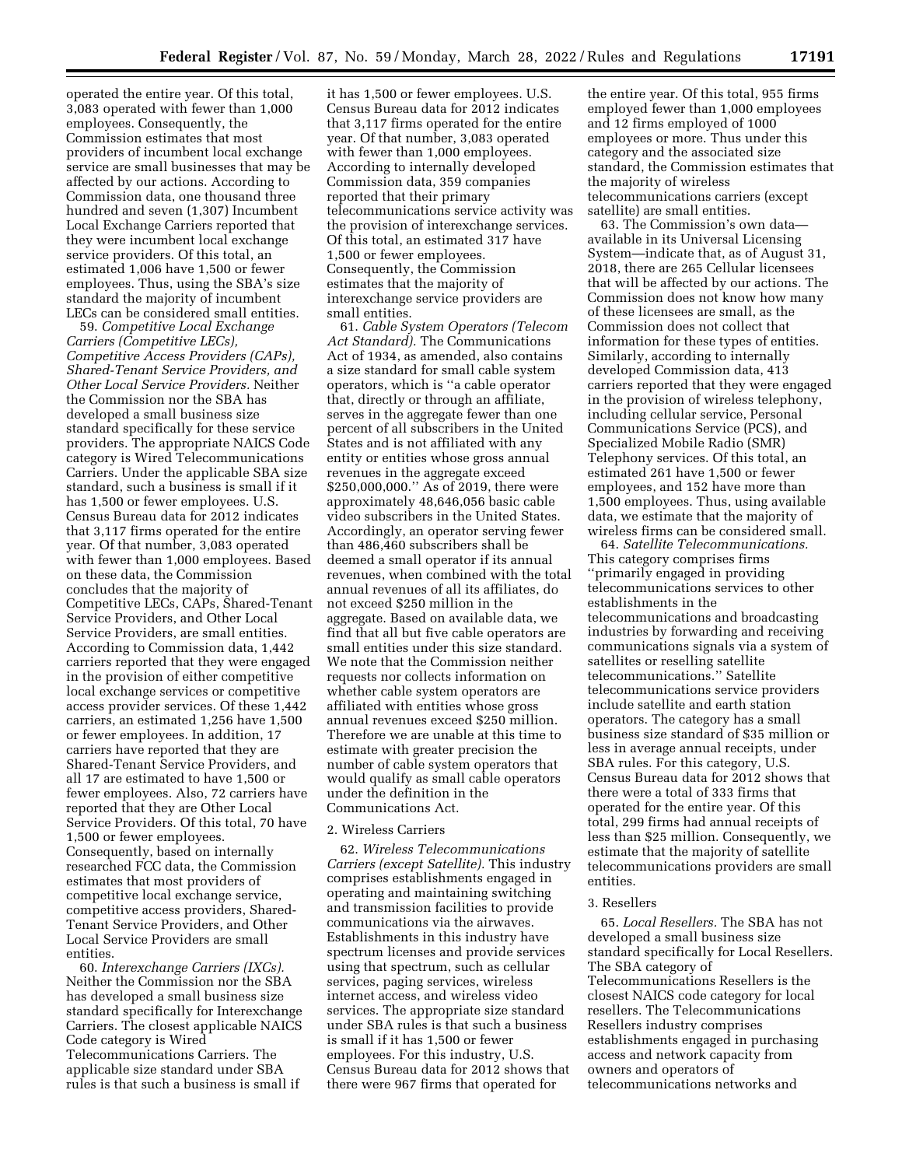operated the entire year. Of this total, 3,083 operated with fewer than 1,000 employees. Consequently, the Commission estimates that most providers of incumbent local exchange service are small businesses that may be affected by our actions. According to Commission data, one thousand three hundred and seven (1,307) Incumbent Local Exchange Carriers reported that they were incumbent local exchange service providers. Of this total, an estimated 1,006 have 1,500 or fewer employees. Thus, using the SBA's size standard the majority of incumbent LECs can be considered small entities.

59. *Competitive Local Exchange Carriers (Competitive LECs), Competitive Access Providers (CAPs), Shared-Tenant Service Providers, and Other Local Service Providers.* Neither the Commission nor the SBA has developed a small business size standard specifically for these service providers. The appropriate NAICS Code category is Wired Telecommunications Carriers. Under the applicable SBA size standard, such a business is small if it has 1,500 or fewer employees. U.S. Census Bureau data for 2012 indicates that 3,117 firms operated for the entire year. Of that number, 3,083 operated with fewer than 1,000 employees. Based on these data, the Commission concludes that the majority of Competitive LECs, CAPs, Shared-Tenant Service Providers, and Other Local Service Providers, are small entities. According to Commission data, 1,442 carriers reported that they were engaged in the provision of either competitive local exchange services or competitive access provider services. Of these 1,442 carriers, an estimated 1,256 have 1,500 or fewer employees. In addition, 17 carriers have reported that they are Shared-Tenant Service Providers, and all 17 are estimated to have 1,500 or fewer employees. Also, 72 carriers have reported that they are Other Local Service Providers. Of this total, 70 have 1,500 or fewer employees. Consequently, based on internally researched FCC data, the Commission estimates that most providers of competitive local exchange service, competitive access providers, Shared-Tenant Service Providers, and Other Local Service Providers are small entities.

60. *Interexchange Carriers (IXCs).*  Neither the Commission nor the SBA has developed a small business size standard specifically for Interexchange Carriers. The closest applicable NAICS Code category is Wired Telecommunications Carriers. The applicable size standard under SBA rules is that such a business is small if

it has 1,500 or fewer employees. U.S. Census Bureau data for 2012 indicates that 3,117 firms operated for the entire year. Of that number, 3,083 operated with fewer than 1,000 employees. According to internally developed Commission data, 359 companies reported that their primary telecommunications service activity was the provision of interexchange services. Of this total, an estimated 317 have 1,500 or fewer employees. Consequently, the Commission estimates that the majority of interexchange service providers are small entities.

61. *Cable System Operators (Telecom Act Standard).* The Communications Act of 1934, as amended, also contains a size standard for small cable system operators, which is ''a cable operator that, directly or through an affiliate, serves in the aggregate fewer than one percent of all subscribers in the United States and is not affiliated with any entity or entities whose gross annual revenues in the aggregate exceed \$250,000,000.'' As of 2019, there were approximately 48,646,056 basic cable video subscribers in the United States. Accordingly, an operator serving fewer than 486,460 subscribers shall be deemed a small operator if its annual revenues, when combined with the total annual revenues of all its affiliates, do not exceed \$250 million in the aggregate. Based on available data, we find that all but five cable operators are small entities under this size standard. We note that the Commission neither requests nor collects information on whether cable system operators are affiliated with entities whose gross annual revenues exceed \$250 million. Therefore we are unable at this time to estimate with greater precision the number of cable system operators that would qualify as small cable operators under the definition in the Communications Act.

## 2. Wireless Carriers

62. *Wireless Telecommunications Carriers (except Satellite).* This industry comprises establishments engaged in operating and maintaining switching and transmission facilities to provide communications via the airwaves. Establishments in this industry have spectrum licenses and provide services using that spectrum, such as cellular services, paging services, wireless internet access, and wireless video services. The appropriate size standard under SBA rules is that such a business is small if it has 1,500 or fewer employees. For this industry, U.S. Census Bureau data for 2012 shows that there were 967 firms that operated for

the entire year. Of this total, 955 firms employed fewer than 1,000 employees and 12 firms employed of 1000 employees or more. Thus under this category and the associated size standard, the Commission estimates that the majority of wireless telecommunications carriers (except satellite) are small entities.

63. The Commission's own data available in its Universal Licensing System—indicate that, as of August 31, 2018, there are 265 Cellular licensees that will be affected by our actions. The Commission does not know how many of these licensees are small, as the Commission does not collect that information for these types of entities. Similarly, according to internally developed Commission data, 413 carriers reported that they were engaged in the provision of wireless telephony, including cellular service, Personal Communications Service (PCS), and Specialized Mobile Radio (SMR) Telephony services. Of this total, an estimated 261 have 1,500 or fewer employees, and 152 have more than 1,500 employees. Thus, using available data, we estimate that the majority of wireless firms can be considered small.

64. *Satellite Telecommunications.*  This category comprises firms ''primarily engaged in providing telecommunications services to other establishments in the telecommunications and broadcasting industries by forwarding and receiving communications signals via a system of satellites or reselling satellite telecommunications.'' Satellite telecommunications service providers include satellite and earth station operators. The category has a small business size standard of \$35 million or less in average annual receipts, under SBA rules. For this category, U.S. Census Bureau data for 2012 shows that there were a total of 333 firms that operated for the entire year. Of this total, 299 firms had annual receipts of less than \$25 million. Consequently, we estimate that the majority of satellite telecommunications providers are small entities.

#### 3. Resellers

65. *Local Resellers.* The SBA has not developed a small business size standard specifically for Local Resellers. The SBA category of Telecommunications Resellers is the closest NAICS code category for local resellers. The Telecommunications Resellers industry comprises establishments engaged in purchasing access and network capacity from owners and operators of telecommunications networks and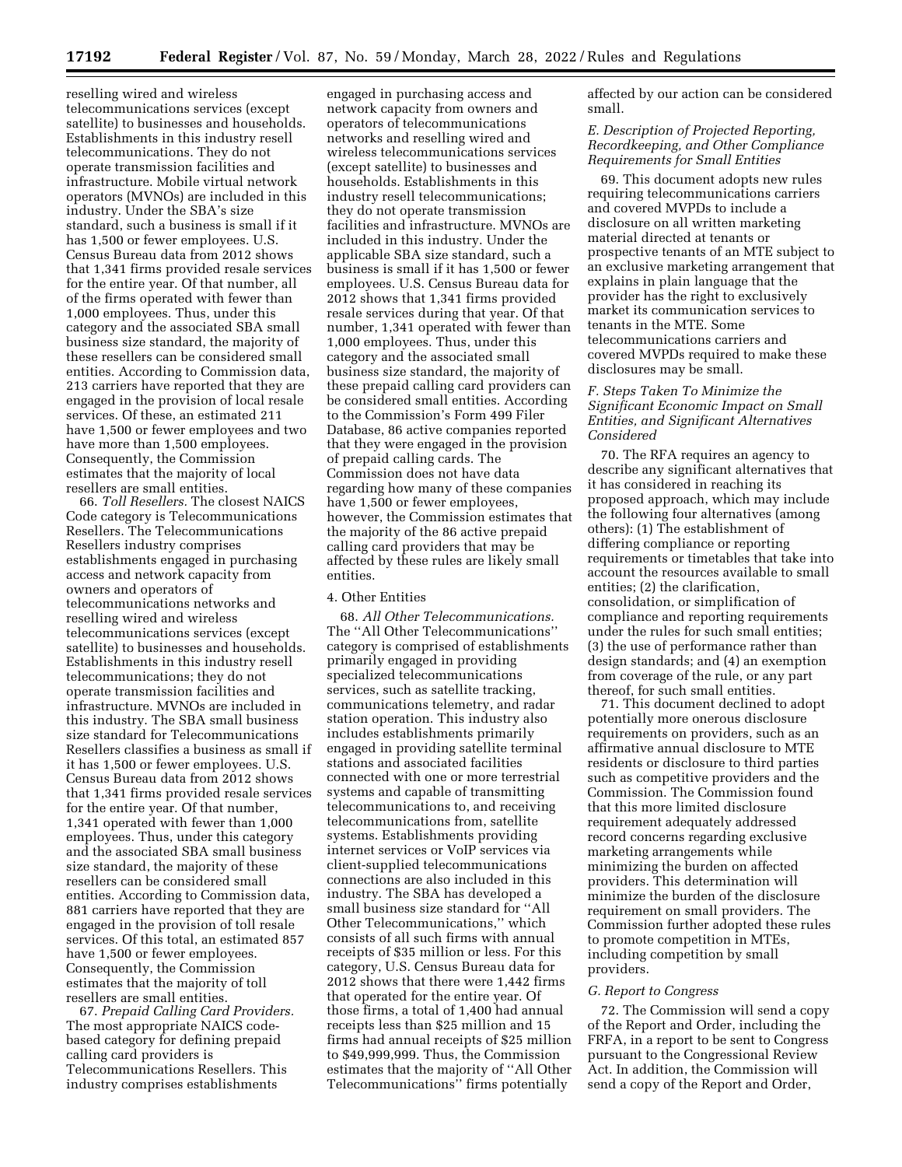reselling wired and wireless telecommunications services (except satellite) to businesses and households. Establishments in this industry resell telecommunications. They do not operate transmission facilities and infrastructure. Mobile virtual network operators (MVNOs) are included in this industry. Under the SBA's size standard, such a business is small if it has 1,500 or fewer employees. U.S. Census Bureau data from 2012 shows that 1,341 firms provided resale services for the entire year. Of that number, all of the firms operated with fewer than 1,000 employees. Thus, under this category and the associated SBA small business size standard, the majority of these resellers can be considered small entities. According to Commission data, 213 carriers have reported that they are engaged in the provision of local resale services. Of these, an estimated 211 have 1,500 or fewer employees and two have more than 1,500 employees. Consequently, the Commission estimates that the majority of local resellers are small entities.

66. *Toll Resellers.* The closest NAICS Code category is Telecommunications Resellers. The Telecommunications Resellers industry comprises establishments engaged in purchasing access and network capacity from owners and operators of telecommunications networks and reselling wired and wireless telecommunications services (except satellite) to businesses and households. Establishments in this industry resell telecommunications; they do not operate transmission facilities and infrastructure. MVNOs are included in this industry. The SBA small business size standard for Telecommunications Resellers classifies a business as small if it has 1,500 or fewer employees. U.S. Census Bureau data from 2012 shows that 1,341 firms provided resale services for the entire year. Of that number, 1,341 operated with fewer than 1,000 employees. Thus, under this category and the associated SBA small business size standard, the majority of these resellers can be considered small entities. According to Commission data, 881 carriers have reported that they are engaged in the provision of toll resale services. Of this total, an estimated 857 have 1,500 or fewer employees. Consequently, the Commission estimates that the majority of toll resellers are small entities.

67. *Prepaid Calling Card Providers.*  The most appropriate NAICS codebased category for defining prepaid calling card providers is Telecommunications Resellers. This industry comprises establishments

engaged in purchasing access and network capacity from owners and operators of telecommunications networks and reselling wired and wireless telecommunications services (except satellite) to businesses and households. Establishments in this industry resell telecommunications; they do not operate transmission facilities and infrastructure. MVNOs are included in this industry. Under the applicable SBA size standard, such a business is small if it has 1,500 or fewer employees. U.S. Census Bureau data for 2012 shows that 1,341 firms provided resale services during that year. Of that number, 1,341 operated with fewer than 1,000 employees. Thus, under this category and the associated small business size standard, the majority of these prepaid calling card providers can be considered small entities. According to the Commission's Form 499 Filer Database, 86 active companies reported that they were engaged in the provision of prepaid calling cards. The Commission does not have data regarding how many of these companies have 1,500 or fewer employees, however, the Commission estimates that the majority of the 86 active prepaid calling card providers that may be affected by these rules are likely small entities.

#### 4. Other Entities

68. *All Other Telecommunications.*  The ''All Other Telecommunications'' category is comprised of establishments primarily engaged in providing specialized telecommunications services, such as satellite tracking, communications telemetry, and radar station operation. This industry also includes establishments primarily engaged in providing satellite terminal stations and associated facilities connected with one or more terrestrial systems and capable of transmitting telecommunications to, and receiving telecommunications from, satellite systems. Establishments providing internet services or VoIP services via client-supplied telecommunications connections are also included in this industry. The SBA has developed a small business size standard for ''All Other Telecommunications,'' which consists of all such firms with annual receipts of \$35 million or less. For this category, U.S. Census Bureau data for 2012 shows that there were 1,442 firms that operated for the entire year. Of those firms, a total of 1,400 had annual receipts less than \$25 million and 15 firms had annual receipts of \$25 million to \$49,999,999. Thus, the Commission estimates that the majority of ''All Other Telecommunications'' firms potentially

affected by our action can be considered small.

# *E. Description of Projected Reporting, Recordkeeping, and Other Compliance Requirements for Small Entities*

69. This document adopts new rules requiring telecommunications carriers and covered MVPDs to include a disclosure on all written marketing material directed at tenants or prospective tenants of an MTE subject to an exclusive marketing arrangement that explains in plain language that the provider has the right to exclusively market its communication services to tenants in the MTE. Some telecommunications carriers and covered MVPDs required to make these disclosures may be small.

# *F. Steps Taken To Minimize the Significant Economic Impact on Small Entities, and Significant Alternatives Considered*

70. The RFA requires an agency to describe any significant alternatives that it has considered in reaching its proposed approach, which may include the following four alternatives (among others): (1) The establishment of differing compliance or reporting requirements or timetables that take into account the resources available to small entities; (2) the clarification, consolidation, or simplification of compliance and reporting requirements under the rules for such small entities; (3) the use of performance rather than design standards; and (4) an exemption from coverage of the rule, or any part thereof, for such small entities.

71. This document declined to adopt potentially more onerous disclosure requirements on providers, such as an affirmative annual disclosure to MTE residents or disclosure to third parties such as competitive providers and the Commission. The Commission found that this more limited disclosure requirement adequately addressed record concerns regarding exclusive marketing arrangements while minimizing the burden on affected providers. This determination will minimize the burden of the disclosure requirement on small providers. The Commission further adopted these rules to promote competition in MTEs, including competition by small providers.

#### *G. Report to Congress*

72. The Commission will send a copy of the Report and Order, including the FRFA, in a report to be sent to Congress pursuant to the Congressional Review Act. In addition, the Commission will send a copy of the Report and Order,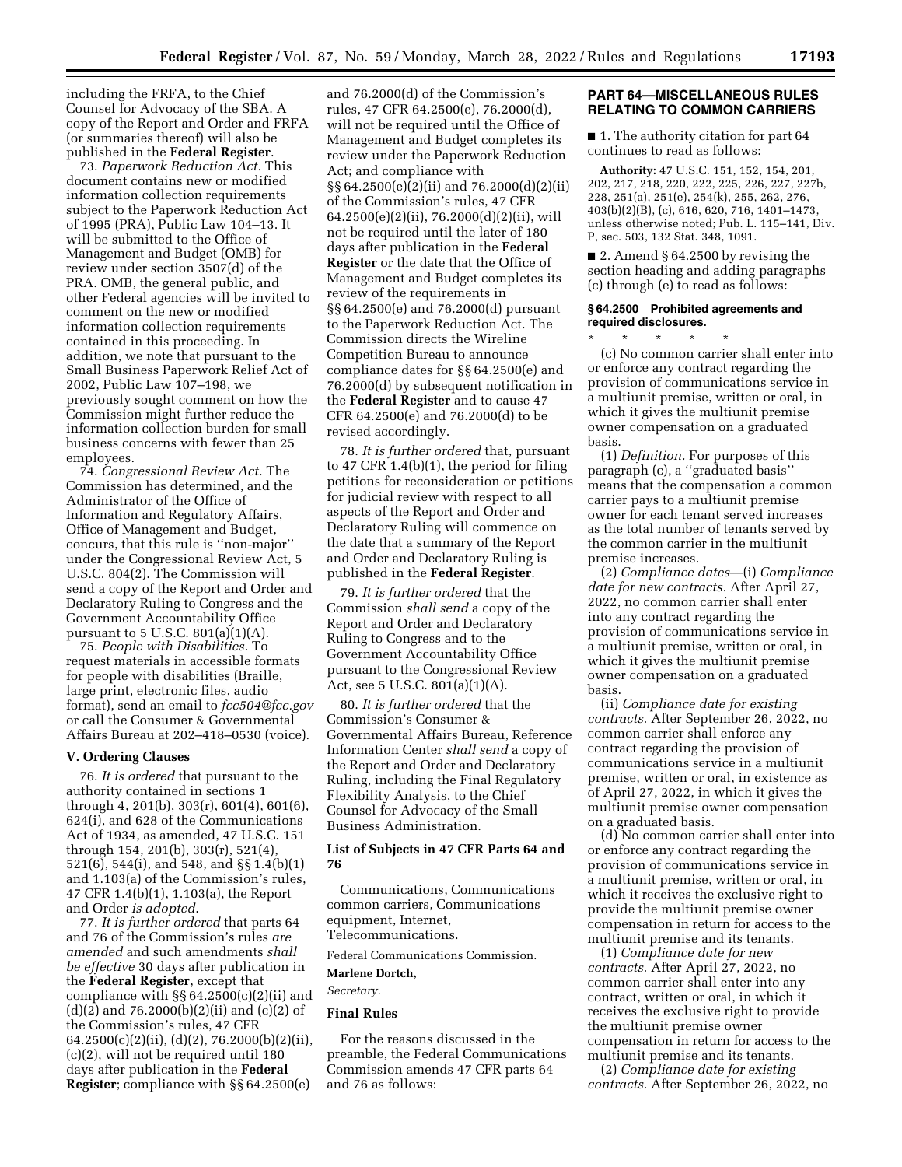including the FRFA, to the Chief Counsel for Advocacy of the SBA. A copy of the Report and Order and FRFA (or summaries thereof) will also be published in the **Federal Register**.

73. *Paperwork Reduction Act.* This document contains new or modified information collection requirements subject to the Paperwork Reduction Act of 1995 (PRA), Public Law 104–13. It will be submitted to the Office of Management and Budget (OMB) for review under section 3507(d) of the PRA. OMB, the general public, and other Federal agencies will be invited to comment on the new or modified information collection requirements contained in this proceeding. In addition, we note that pursuant to the Small Business Paperwork Relief Act of 2002, Public Law 107–198, we previously sought comment on how the Commission might further reduce the information collection burden for small business concerns with fewer than 25 employees.

74. *Congressional Review Act.* The Commission has determined, and the Administrator of the Office of Information and Regulatory Affairs, Office of Management and Budget, concurs, that this rule is ''non-major'' under the Congressional Review Act, 5 U.S.C. 804(2). The Commission will send a copy of the Report and Order and Declaratory Ruling to Congress and the Government Accountability Office pursuant to  $5$  U.S.C.  $801(a)(1)(A)$ .

75. *People with Disabilities.* To request materials in accessible formats for people with disabilities (Braille, large print, electronic files, audio format), send an email to *[fcc504@fcc.gov](mailto:fcc504@fcc.gov)*  or call the Consumer & Governmental Affairs Bureau at 202–418–0530 (voice).

#### **V. Ordering Clauses**

76. *It is ordered* that pursuant to the authority contained in sections 1 through 4, 201(b), 303(r), 601(4), 601(6), 624(i), and 628 of the Communications Act of 1934, as amended, 47 U.S.C. 151 through 154, 201(b), 303(r), 521(4), 521(6), 544(i), and 548, and §§ 1.4(b)(1) and 1.103(a) of the Commission's rules, 47 CFR 1.4(b)(1), 1.103(a), the Report and Order *is adopted*.

77. *It is further ordered* that parts 64 and 76 of the Commission's rules *are amended* and such amendments *shall be effective* 30 days after publication in the **Federal Register**, except that compliance with §§ 64.2500(c)(2)(ii) and (d)(2) and 76.2000(b)(2)(ii) and (c)(2) of the Commission's rules, 47 CFR 64.2500(c)(2)(ii), (d)(2), 76.2000(b)(2)(ii), (c)(2), will not be required until 180 days after publication in the **Federal Register**; compliance with §§ 64.2500(e)

and 76.2000(d) of the Commission's rules, 47 CFR 64.2500(e), 76.2000(d), will not be required until the Office of Management and Budget completes its review under the Paperwork Reduction Act; and compliance with §§ 64.2500(e)(2)(ii) and 76.2000(d)(2)(ii) of the Commission's rules, 47 CFR 64.2500(e)(2)(ii), 76.2000(d)(2)(ii), will not be required until the later of 180 days after publication in the **Federal Register** or the date that the Office of Management and Budget completes its review of the requirements in §§ 64.2500(e) and 76.2000(d) pursuant to the Paperwork Reduction Act. The Commission directs the Wireline Competition Bureau to announce compliance dates for §§ 64.2500(e) and 76.2000(d) by subsequent notification in the **Federal Register** and to cause 47 CFR 64.2500(e) and 76.2000(d) to be revised accordingly.

78. *It is further ordered* that, pursuant to 47 CFR 1.4(b)(1), the period for filing petitions for reconsideration or petitions for judicial review with respect to all aspects of the Report and Order and Declaratory Ruling will commence on the date that a summary of the Report and Order and Declaratory Ruling is published in the **Federal Register**.

79. *It is further ordered* that the Commission *shall send* a copy of the Report and Order and Declaratory Ruling to Congress and to the Government Accountability Office pursuant to the Congressional Review Act, see 5 U.S.C. 801(a)(1)(A).

80. *It is further ordered* that the Commission's Consumer & Governmental Affairs Bureau, Reference Information Center *shall send* a copy of the Report and Order and Declaratory Ruling, including the Final Regulatory Flexibility Analysis, to the Chief Counsel for Advocacy of the Small Business Administration.

# **List of Subjects in 47 CFR Parts 64 and 76**

Communications, Communications common carriers, Communications equipment, Internet, Telecommunications.

Federal Communications Commission. **Marlene Dortch,** 

# *Secretary.*

# **Final Rules**

For the reasons discussed in the preamble, the Federal Communications Commission amends 47 CFR parts 64 and 76 as follows:

## **PART 64—MISCELLANEOUS RULES RELATING TO COMMON CARRIERS**

■ 1. The authority citation for part 64 continues to read as follows:

**Authority:** 47 U.S.C. 151, 152, 154, 201, 202, 217, 218, 220, 222, 225, 226, 227, 227b, 228, 251(a), 251(e), 254(k), 255, 262, 276, 403(b)(2)(B), (c), 616, 620, 716, 1401–1473, unless otherwise noted; Pub. L. 115–141, Div. P, sec. 503, 132 Stat. 348, 1091.

■ 2. Amend § 64.2500 by revising the section heading and adding paragraphs (c) through (e) to read as follows:

# **§ 64.2500 Prohibited agreements and required disclosures.**

\* \* \* \* \* (c) No common carrier shall enter into or enforce any contract regarding the provision of communications service in a multiunit premise, written or oral, in which it gives the multiunit premise owner compensation on a graduated basis.

(1) *Definition.* For purposes of this paragraph (c), a ''graduated basis'' means that the compensation a common carrier pays to a multiunit premise owner for each tenant served increases as the total number of tenants served by the common carrier in the multiunit premise increases.

(2) *Compliance dates*—(i) *Compliance date for new contracts.* After April 27, 2022, no common carrier shall enter into any contract regarding the provision of communications service in a multiunit premise, written or oral, in which it gives the multiunit premise owner compensation on a graduated basis.

(ii) *Compliance date for existing contracts.* After September 26, 2022, no common carrier shall enforce any contract regarding the provision of communications service in a multiunit premise, written or oral, in existence as of April 27, 2022, in which it gives the multiunit premise owner compensation on a graduated basis.

(d) No common carrier shall enter into or enforce any contract regarding the provision of communications service in a multiunit premise, written or oral, in which it receives the exclusive right to provide the multiunit premise owner compensation in return for access to the multiunit premise and its tenants.

(1) *Compliance date for new contracts.* After April 27, 2022, no common carrier shall enter into any contract, written or oral, in which it receives the exclusive right to provide the multiunit premise owner compensation in return for access to the multiunit premise and its tenants.

(2) *Compliance date for existing contracts.* After September 26, 2022, no